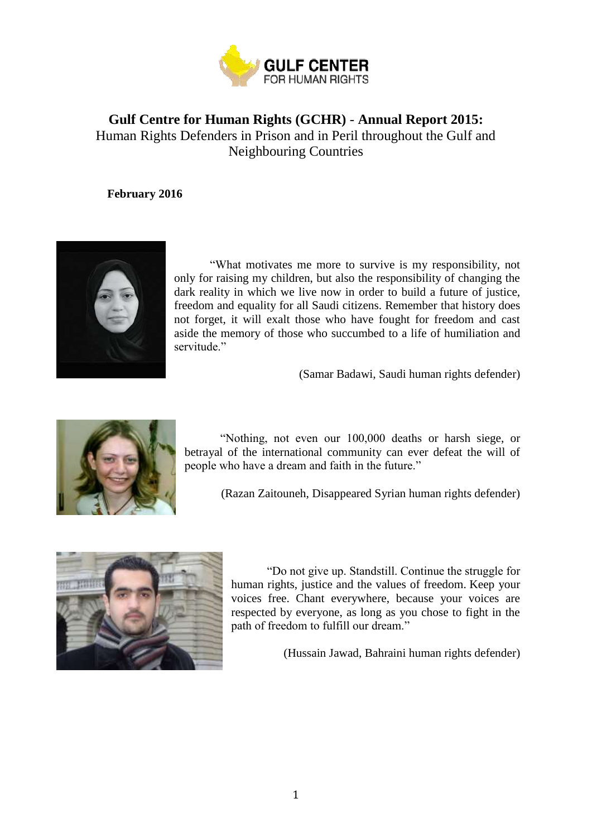

# **Gulf Centre for Human Rights (GCHR)** - **Annual Report 2015:** Human Rights Defenders in Prison and in Peril throughout the Gulf and Neighbouring Countries

**February 2016**



"What motivates me more to survive is my responsibility, not only for raising my children, but also the responsibility of changing the dark reality in which we live now in order to build a future of justice, freedom and equality for all Saudi citizens. Remember that history does not forget, it will exalt those who have fought for freedom and cast aside the memory of those who succumbed to a life of humiliation and servitude."

(Samar Badawi, Saudi human rights defender)



"Nothing, not even our 100,000 deaths or harsh siege, or betrayal of the international community can ever defeat the will of people who have a dream and faith in the future."

(Razan Zaitouneh, Disappeared Syrian human rights defender)



"Do not give up. Standstill. Continue the struggle for human rights, justice and the values of freedom. Keep your voices free. Chant everywhere, because your voices are respected by everyone, as long as you chose to fight in the path of freedom to fulfill our dream."

(Hussain Jawad, Bahraini human rights defender)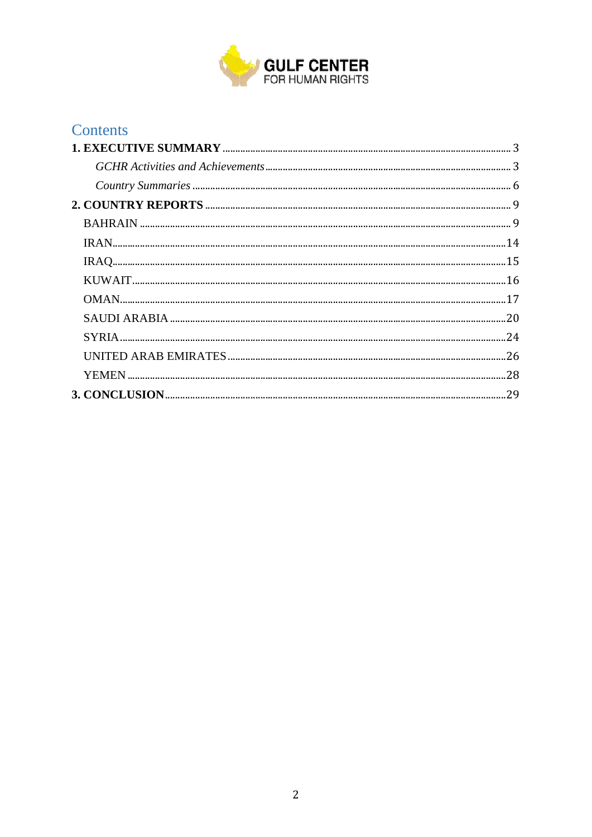

| <b>Contents</b> |  |
|-----------------|--|
|                 |  |
|                 |  |
|                 |  |
|                 |  |
|                 |  |
|                 |  |
|                 |  |
|                 |  |
|                 |  |
|                 |  |
|                 |  |
|                 |  |
|                 |  |
|                 |  |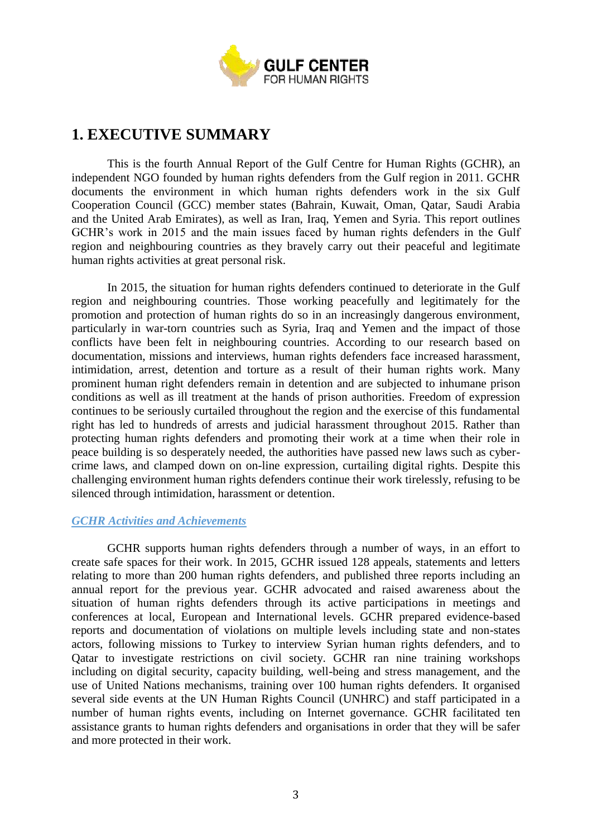

# <span id="page-2-0"></span>**1. EXECUTIVE SUMMARY**

This is the fourth Annual Report of the Gulf Centre for Human Rights (GCHR), an independent NGO founded by human rights defenders from the Gulf region in 2011. GCHR documents the environment in which human rights defenders work in the six Gulf Cooperation Council (GCC) member states (Bahrain, Kuwait, Oman, Qatar, Saudi Arabia and the United Arab Emirates), as well as Iran, Iraq, Yemen and Syria. This report outlines GCHR's work in 2015 and the main issues faced by human rights defenders in the Gulf region and neighbouring countries as they bravely carry out their peaceful and legitimate human rights activities at great personal risk.

In 2015, the situation for human rights defenders continued to deteriorate in the Gulf region and neighbouring countries. Those working peacefully and legitimately for the promotion and protection of human rights do so in an increasingly dangerous environment, particularly in war-torn countries such as Syria, Iraq and Yemen and the impact of those conflicts have been felt in neighbouring countries. According to our research based on documentation, missions and interviews, human rights defenders face increased harassment, intimidation, arrest, detention and torture as a result of their human rights work. Many prominent human right defenders remain in detention and are subjected to inhumane prison conditions as well as ill treatment at the hands of prison authorities. Freedom of expression continues to be seriously curtailed throughout the region and the exercise of this fundamental right has led to hundreds of arrests and judicial harassment throughout 2015. Rather than protecting human rights defenders and promoting their work at a time when their role in peace building is so desperately needed, the authorities have passed new laws such as cybercrime laws, and clamped down on on-line expression, curtailing digital rights. Despite this challenging environment human rights defenders continue their work tirelessly, refusing to be silenced through intimidation, harassment or detention.

# <span id="page-2-1"></span>*GCHR Activities and Achievements*

GCHR supports human rights defenders through a number of ways, in an effort to create safe spaces for their work. In 2015, GCHR issued 128 appeals, statements and letters relating to more than 200 human rights defenders, and published three reports including an annual report for the previous year. GCHR advocated and raised awareness about the situation of human rights defenders through its active participations in meetings and conferences at local, European and International levels. GCHR prepared evidence-based reports and documentation of violations on multiple levels including state and non-states actors, following missions to Turkey to interview Syrian human rights defenders, and to Qatar to investigate restrictions on civil society. GCHR ran nine training workshops including on digital security, capacity building, well-being and stress management, and the use of United Nations mechanisms, training over 100 human rights defenders. It organised several side events at the UN Human Rights Council (UNHRC) and staff participated in a number of human rights events, including on Internet governance. GCHR facilitated ten assistance grants to human rights defenders and organisations in order that they will be safer and more protected in their work.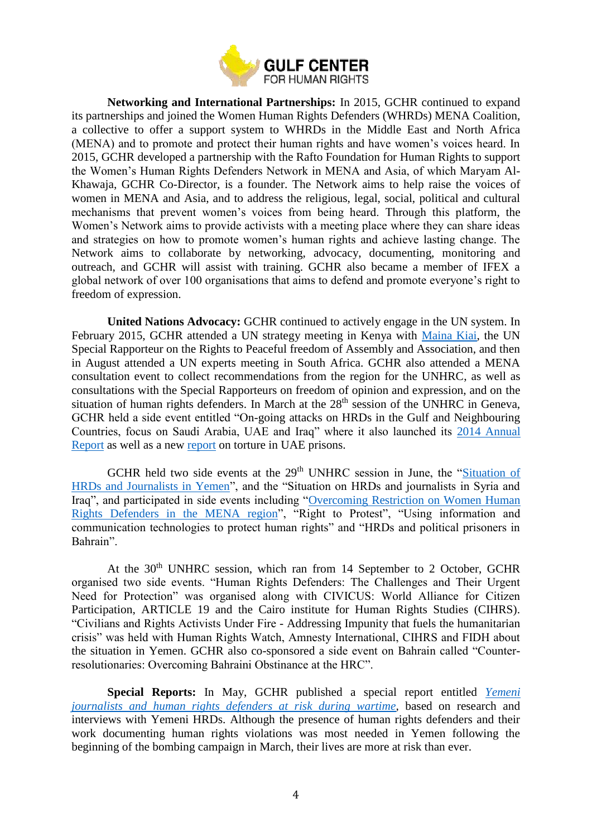

**Networking and International Partnerships:** In 2015, GCHR continued to expand its partnerships and joined the Women Human Rights Defenders (WHRDs) MENA Coalition, a collective to offer a support system to WHRDs in the Middle East and North Africa (MENA) and to promote and protect their human rights and have women's voices heard. In 2015, GCHR developed a partnership with the Rafto Foundation for Human Rights to support the Women's Human Rights Defenders Network in MENA and Asia, of which Maryam Al-Khawaja, GCHR Co-Director, is a founder. The Network aims to help raise the voices of women in MENA and Asia, and to address the religious, legal, social, political and cultural mechanisms that prevent women's voices from being heard. Through this platform, the Women's Network aims to provide activists with a meeting place where they can share ideas and strategies on how to promote women's human rights and achieve lasting change. The Network aims to collaborate by networking, advocacy, documenting, monitoring and outreach, and GCHR will assist with training. GCHR also became a member of IFEX a global network of over 100 organisations that aims to defend and promote everyone's right to freedom of expression.

**United Nations Advocacy:** GCHR continued to actively engage in the UN system. In February 2015, GCHR attended a UN strategy meeting in Kenya with [Maina Kiai,](http://freeassembly.net/) the UN Special Rapporteur on the Rights to Peaceful freedom of Assembly and Association, and then in August attended a UN experts meeting in South Africa. GCHR also attended a MENA consultation event to collect recommendations from the region for the UNHRC, as well as consultations with the Special Rapporteurs on freedom of opinion and expression, and on the situation of human rights defenders. In March at the  $28<sup>th</sup>$  session of the UNHRC in Geneva, GCHR held a side event entitled "On-going attacks on HRDs in the Gulf and Neighbouring Countries, focus on Saudi Arabia, UAE and Iraq" where it also launched its [2014 Annual](http://www.gc4hr.org/report/view/30)  [Report](http://www.gc4hr.org/report/view/30) as well as a new [report](http://www.gc4hr.org/report/view/33) on torture in UAE prisons.

GCHR held two side events at the 29<sup>th</sup> UNHRC session in June, the "Situation of [HRDs and Journalists in Yemen"](http://www.gc4hr.org/news/view/1030), and the "Situation on HRDs and journalists in Syria and Iraq", and participated in side events including ["Overcoming Restriction on Women Human](http://www.gc4hr.org/news/view/1035)  [Rights Defenders in the MENA region"](http://www.gc4hr.org/news/view/1035), "Right to Protest", "Using information and communication technologies to protect human rights" and "HRDs and political prisoners in Bahrain".

At the 30<sup>th</sup> UNHRC session, which ran from 14 September to 2 October, GCHR organised two side events. "Human Rights Defenders: The Challenges and Their Urgent Need for Protection" was organised along with CIVICUS: World Alliance for Citizen Participation, ARTICLE 19 and the Cairo institute for Human Rights Studies (CIHRS). "Civilians and Rights Activists Under Fire - Addressing Impunity that fuels the humanitarian crisis" was held with Human Rights Watch, Amnesty International, CIHRS and FIDH about the situation in Yemen. GCHR also co-sponsored a side event on Bahrain called "Counterresolutionaries: Overcoming Bahraini Obstinance at the HRC".

**Special Reports:** In May, GCHR published a special report entitled *[Yemeni](http://www.gc4hr.org/report/view/36)  [journalists and human rights defenders at risk during wartime,](http://www.gc4hr.org/report/view/36)* based on research and interviews with Yemeni HRDs. Although the presence of human rights defenders and their work documenting human rights violations was most needed in Yemen following the beginning of the bombing campaign in March, their lives are more at risk than ever.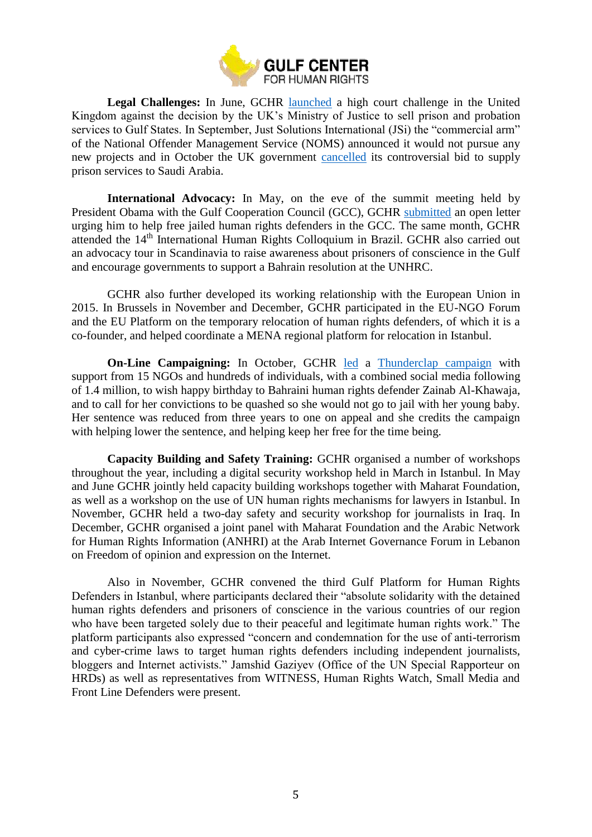

**Legal Challenges:** In June, GCHR [launched](http://www.gc4hr.org/news/view/1037) a high court challenge in the United Kingdom against the decision by the UK's Ministry of Justice to sell prison and probation services to Gulf States. In September, Just Solutions International (JSi) the "commercial arm" of the National Offender Management Service (NOMS) announced it would not pursue any new projects and in October the UK government [cancelled](http://www.gc4hr.org/news/view/1103) its controversial bid to supply prison services to Saudi Arabia.

**International Advocacy:** In May, on the eve of the summit meeting held by President Obama with the Gulf Cooperation Council (GCC), GCHR [submitted](http://www.gc4hr.org/news/view/1002) an open letter urging him to help free jailed human rights defenders in the GCC. The same month, GCHR attended the 14th International Human Rights Colloquium in Brazil. GCHR also carried out an advocacy tour in Scandinavia to raise awareness about prisoners of conscience in the Gulf and encourage governments to support a Bahrain resolution at the UNHRC.

GCHR also further developed its working relationship with the European Union in 2015. In Brussels in November and December, GCHR participated in the EU-NGO Forum and the EU Platform on the temporary relocation of human rights defenders, of which it is a co-founder, and helped coordinate a MENA regional platform for relocation in Istanbul.

**On-Line Campaigning:** In October, GCHR [led](http://www.gc4hr.org/news/view/1104) a [Thunderclap campaign](https://www.thunderclap.it/projects/33052-happybirthdayzainab) with support from 15 NGOs and hundreds of individuals, with a combined social media following of 1.4 million, to wish happy birthday to Bahraini human rights defender Zainab Al-Khawaja, and to call for her convictions to be quashed so she would not go to jail with her young baby. Her sentence was reduced from three years to one on appeal and she credits the campaign with helping lower the sentence, and helping keep her free for the time being.

**Capacity Building and Safety Training:** GCHR organised a number of workshops throughout the year, including a digital security workshop held in March in Istanbul. In May and June GCHR jointly held capacity building workshops together with Maharat Foundation, as well as a workshop on the use of UN human rights mechanisms for lawyers in Istanbul. In November, GCHR held a two-day safety and security workshop for journalists in Iraq. In December, GCHR organised a joint panel with Maharat Foundation and the Arabic Network for Human Rights Information (ANHRI) at the Arab Internet Governance Forum in Lebanon on Freedom of opinion and expression on the Internet.

Also in November, GCHR convened the third Gulf Platform for Human Rights Defenders in Istanbul, where participants declared their "absolute solidarity with the detained human rights defenders and prisoners of conscience in the various countries of our region who have been targeted solely due to their peaceful and legitimate human rights work." The platform participants also expressed "concern and condemnation for the use of anti-terrorism and cyber-crime laws to target human rights defenders including independent journalists, bloggers and Internet activists." Jamshid Gaziyev (Office of the UN Special Rapporteur on HRDs) as well as representatives from WITNESS, Human Rights Watch, Small Media and Front Line Defenders were present.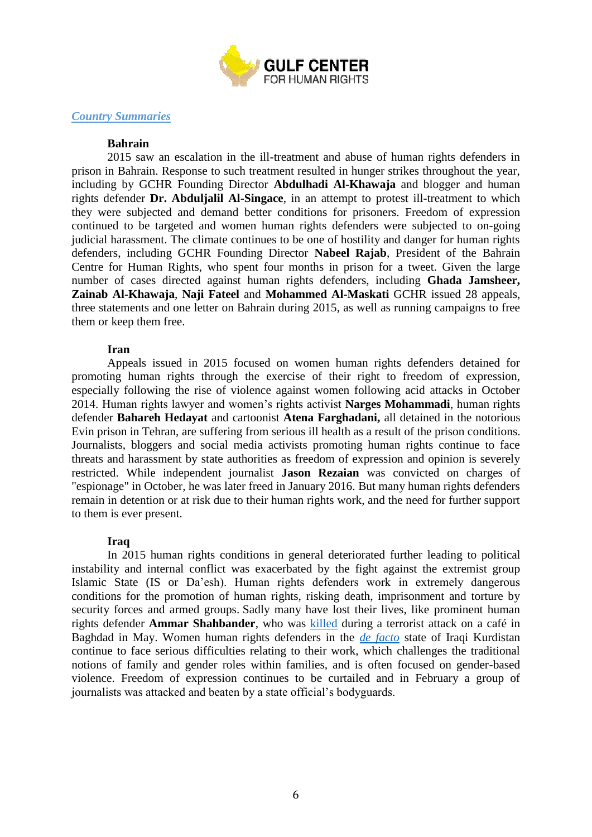

#### <span id="page-5-0"></span>*Country Summaries*

#### **Bahrain**

2015 saw an escalation in the ill-treatment and abuse of human rights defenders in prison in Bahrain. Response to such treatment resulted in hunger strikes throughout the year, including by GCHR Founding Director **Abdulhadi Al-Khawaja** and blogger and human rights defender **Dr. Abduljalil Al-Singace**, in an attempt to protest ill-treatment to which they were subjected and demand better conditions for prisoners. Freedom of expression continued to be targeted and women human rights defenders were subjected to on-going judicial harassment. The climate continues to be one of hostility and danger for human rights defenders, including GCHR Founding Director **Nabeel Rajab**, President of the Bahrain Centre for Human Rights, who spent four months in prison for a tweet. Given the large number of cases directed against human rights defenders, including **Ghada Jamsheer, Zainab Al-Khawaja**, **Naji Fateel** and **Mohammed Al-Maskati** GCHR issued 28 appeals, three statements and one letter on Bahrain during 2015, as well as running campaigns to free them or keep them free.

#### **Iran**

Appeals issued in 2015 focused on women human rights defenders detained for promoting human rights through the exercise of their right to freedom of expression, especially following the rise of violence against women following acid attacks in October 2014. Human rights lawyer and women's rights activist **Narges Mohammadi**, human rights defender **Bahareh Hedayat** and cartoonist **Atena Farghadani,** all detained in the notorious Evin prison in Tehran, are suffering from serious ill health as a result of the prison conditions. Journalists, bloggers and social media activists promoting human rights continue to face threats and harassment by state authorities as freedom of expression and opinion is severely restricted. While independent journalist **Jason Rezaian** was convicted on charges of "espionage" in October, he was later freed in January 2016. But many human rights defenders remain in detention or at risk due to their human rights work, and the need for further support to them is ever present.

#### **Iraq**

In 2015 human rights conditions in general deteriorated further leading to political instability and internal conflict was exacerbated by the fight against the extremist group Islamic State (IS or Da'esh). Human rights defenders work in extremely dangerous conditions for the promotion of human rights, risking death, imprisonment and torture by security forces and armed groups. Sadly many have lost their lives, like prominent human rights defender **Ammar Shahbander**, who was [killed](http://www.gc4hr.org/news/view/994) during a terrorist attack on a café in Baghdad in May. Women human rights defenders in the *[de facto](http://www.merip.org/mer/mer215/shaky-de-facto-kurdistan)* state of Iraqi Kurdistan continue to face serious difficulties relating to their work, which challenges the traditional notions of family and gender roles within families, and is often focused on gender-based violence. Freedom of expression continues to be curtailed and in February a group of journalists was attacked and beaten by a state official's bodyguards.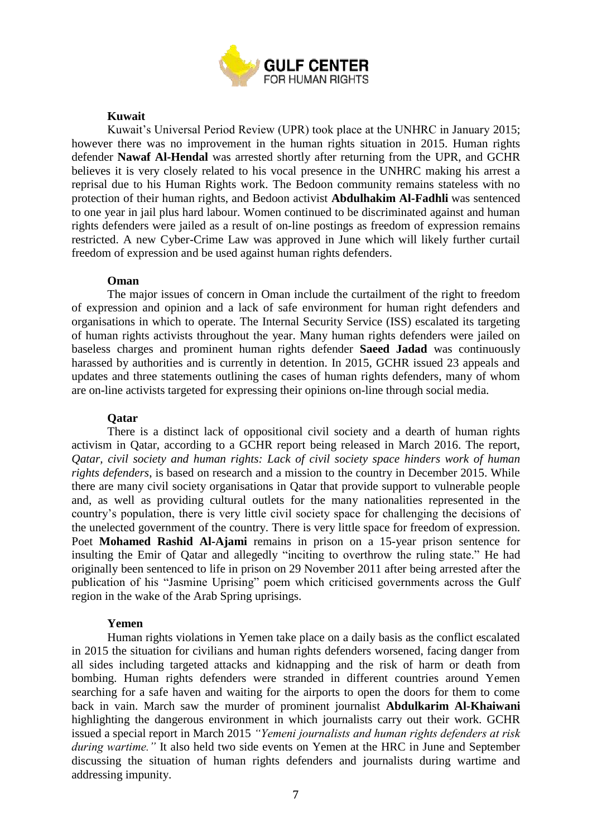

#### **Kuwait**

Kuwait's Universal Period Review (UPR) took place at the UNHRC in January 2015; however there was no improvement in the human rights situation in 2015. Human rights defender **Nawaf Al-Hendal** was arrested shortly after returning from the UPR, and GCHR believes it is very closely related to his vocal presence in the UNHRC making his arrest a reprisal due to his Human Rights work. The Bedoon community remains stateless with no protection of their human rights, and Bedoon activist **Abdulhakim Al-Fadhli** was sentenced to one year in jail plus hard labour. Women continued to be discriminated against and human rights defenders were jailed as a result of on-line postings as freedom of expression remains restricted. A new Cyber-Crime Law was approved in June which will likely further curtail freedom of expression and be used against human rights defenders.

#### **Oman**

The major issues of concern in Oman include the curtailment of the right to freedom of expression and opinion and a lack of safe environment for human right defenders and organisations in which to operate. The Internal Security Service (ISS) escalated its targeting of human rights activists throughout the year. Many human rights defenders were jailed on baseless charges and prominent human rights defender **Saeed Jadad** was continuously harassed by authorities and is currently in detention. In 2015, GCHR issued 23 appeals and updates and three statements outlining the cases of human rights defenders, many of whom are on-line activists targeted for expressing their opinions on-line through social media.

#### **Qatar**

There is a distinct lack of oppositional civil society and a dearth of human rights activism in Qatar, according to a GCHR report being released in March 2016. The report, *Qatar, civil society and human rights: Lack of civil society space hinders work of human rights defenders*, is based on research and a mission to the country in December 2015. While there are many civil society organisations in Qatar that provide support to vulnerable people and, as well as providing cultural outlets for the many nationalities represented in the country's population, there is very little civil society space for challenging the decisions of the unelected government of the country. There is very little space for freedom of expression. Poet **Mohamed Rashid Al-Ajami** remains in prison on a 15-year prison sentence for insulting the Emir of Qatar and allegedly "inciting to overthrow the ruling state." He had originally been sentenced to life in prison on 29 November 2011 after being arrested after the publication of his "Jasmine Uprising" poem which criticised governments across the Gulf region in the wake of the Arab Spring uprisings.

#### **Yemen**

Human rights violations in Yemen take place on a daily basis as the conflict escalated in 2015 the situation for civilians and human rights defenders worsened, facing danger from all sides including targeted attacks and kidnapping and the risk of harm or death from bombing. Human rights defenders were stranded in different countries around Yemen searching for a safe haven and waiting for the airports to open the doors for them to come back in vain. March saw the murder of prominent journalist **Abdulkarim Al-Khaiwani**  highlighting the dangerous environment in which journalists carry out their work. GCHR issued a special report in March 2015 *"Yemeni journalists and human rights defenders at risk during wartime.*" It also held two side events on Yemen at the HRC in June and September discussing the situation of human rights defenders and journalists during wartime and addressing impunity.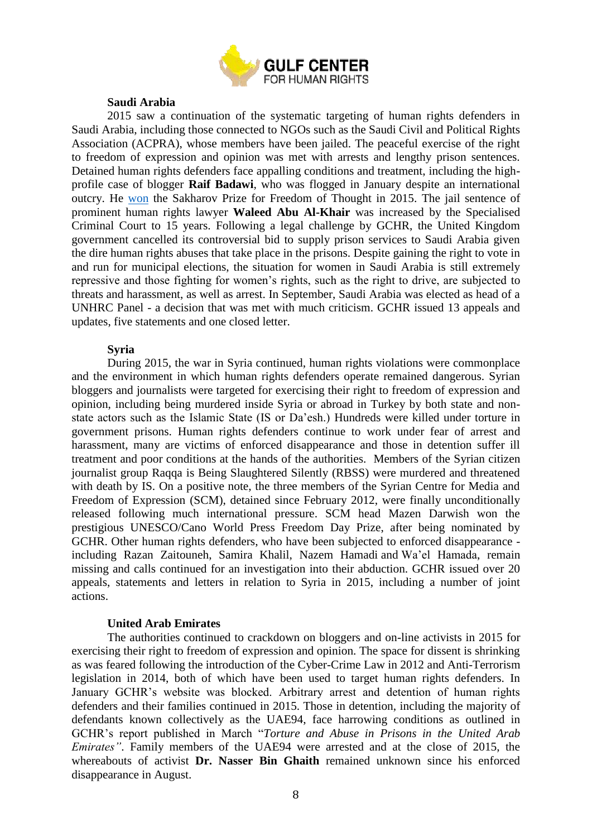

#### **Saudi Arabia**

2015 saw a continuation of the systematic targeting of human rights defenders in Saudi Arabia, including those connected to NGOs such as the Saudi Civil and Political Rights Association (ACPRA), whose members have been jailed. The peaceful exercise of the right to freedom of expression and opinion was met with arrests and lengthy prison sentences. Detained human rights defenders face appalling conditions and treatment, including the highprofile case of blogger **Raif Badawi**, who was flogged in January despite an international outcry. He [won](http://www.europarl.europa.eu/news/en/news-room/20151215STO07590/Sakharov-Prize-Raif-Badawi-was-brave-enough-to-say-no-to-their-barbarity) the Sakharov Prize for Freedom of Thought in 2015. The jail sentence of prominent human rights lawyer **Waleed Abu Al-Khair** was increased by the Specialised Criminal Court to 15 years. Following a legal challenge by GCHR, the United Kingdom government cancelled its controversial bid to supply prison services to Saudi Arabia given the dire human rights abuses that take place in the prisons. Despite gaining the right to vote in and run for municipal elections, the situation for women in Saudi Arabia is still extremely repressive and those fighting for women's rights, such as the right to drive, are subjected to threats and harassment, as well as arrest. In September, Saudi Arabia was elected as head of a UNHRC Panel - a decision that was met with much criticism. GCHR issued 13 appeals and updates, five statements and one closed letter.

#### **Syria**

During 2015, the war in Syria continued, human rights violations were commonplace and the environment in which human rights defenders operate remained dangerous. Syrian bloggers and journalists were targeted for exercising their right to freedom of expression and opinion, including being murdered inside Syria or abroad in Turkey by both state and nonstate actors such as the Islamic State (IS or Da'esh.) Hundreds were killed under torture in government prisons. Human rights defenders continue to work under fear of arrest and harassment, many are victims of enforced disappearance and those in detention suffer ill treatment and poor conditions at the hands of the authorities. Members of the Syrian citizen journalist group Raqqa is Being Slaughtered Silently (RBSS) were murdered and threatened with death by IS. On a positive note, the three members of the Syrian Centre for Media and Freedom of Expression (SCM), detained since February 2012, were finally unconditionally released following much international pressure. SCM head Mazen Darwish won the prestigious UNESCO/Cano World Press Freedom Day Prize, after being nominated by GCHR. Other human rights defenders, who have been subjected to enforced disappearance including Razan Zaitouneh, Samira Khalil, Nazem Hamadi and Wa'el Hamada, remain missing and calls continued for an investigation into their abduction. GCHR issued over 20 appeals, statements and letters in relation to Syria in 2015, including a number of joint actions.

#### **United Arab Emirates**

The authorities continued to crackdown on bloggers and on-line activists in 2015 for exercising their right to freedom of expression and opinion. The space for dissent is shrinking as was feared following the introduction of the Cyber-Crime Law in 2012 and Anti-Terrorism legislation in 2014, both of which have been used to target human rights defenders. In January GCHR's website was blocked. Arbitrary arrest and detention of human rights defenders and their families continued in 2015. Those in detention, including the majority of defendants known collectively as the UAE94, face harrowing conditions as outlined in GCHR's report published in March "*Torture and Abuse in Prisons in the United Arab Emirates"*. Family members of the UAE94 were arrested and at the close of 2015, the whereabouts of activist **Dr. Nasser Bin Ghaith** remained unknown since his enforced disappearance in August.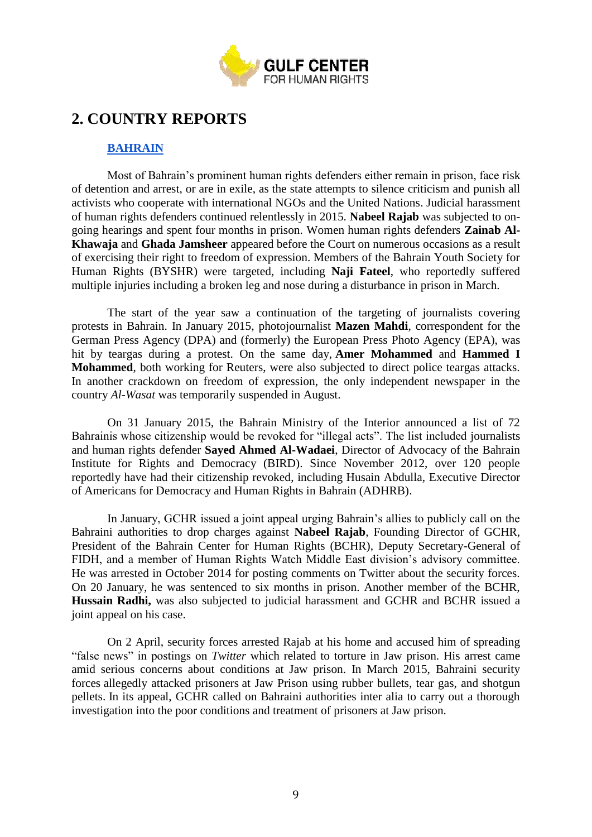

# <span id="page-8-0"></span>**2. COUNTRY REPORTS**

## **[BAHRAIN](http://www.gc4hr.org/news/index/country/9)**

<span id="page-8-1"></span>Most of Bahrain's prominent human rights defenders either remain in prison, face risk of detention and arrest, or are in exile, as the state attempts to silence criticism and punish all activists who cooperate with international NGOs and the United Nations. Judicial harassment of human rights defenders continued relentlessly in 2015. **Nabeel Rajab** was subjected to ongoing hearings and spent four months in prison. Women human rights defenders **Zainab Al-Khawaja** and **Ghada Jamsheer** appeared before the Court on numerous occasions as a result of exercising their right to freedom of expression. Members of the Bahrain Youth Society for Human Rights (BYSHR) were targeted, including **Naji Fateel**, who reportedly suffered multiple injuries including a broken leg and nose during a disturbance in prison in March.

The start of the year saw a continuation of the targeting of journalists covering protests in Bahrain. In January 2015, photojournalist **Mazen Mahdi**, correspondent for the German Press Agency (DPA) and (formerly) the European Press Photo Agency (EPA), was hit by teargas during a protest. On the same day, **Amer Mohammed** and **Hammed I Mohammed**, both working for Reuters, were also subjected to direct police teargas attacks. In another crackdown on freedom of expression, the only independent newspaper in the country *Al-Wasat* was temporarily suspended in August.

On 31 January 2015, the Bahrain Ministry of the Interior announced a list of 72 Bahrainis whose citizenship would be revoked for "illegal acts". The list included journalists and human rights defender **Sayed Ahmed Al-Wadaei**, Director of Advocacy of the Bahrain Institute for Rights and Democracy (BIRD). Since November 2012, over 120 people reportedly have had their citizenship revoked, including Husain Abdulla, Executive Director of Americans for Democracy and Human Rights in Bahrain (ADHRB).

In January, GCHR issued a joint appeal urging Bahrain's allies to publicly call on the Bahraini authorities to drop charges against **Nabeel Rajab**, Founding Director of GCHR, President of the Bahrain Center for Human Rights (BCHR), Deputy Secretary-General of FIDH, and a member of Human Rights Watch Middle East division's advisory committee. He was arrested in October 2014 for posting comments on Twitter about the security forces. On 20 January, he was sentenced to six months in prison. Another member of the BCHR, **Hussain Radhi,** was also subjected to judicial harassment and GCHR and BCHR issued a joint appeal on his case.

On 2 April, security forces arrested Rajab at his home and accused him of spreading "false news" in postings on *Twitter* which related to torture in Jaw prison. His arrest came amid serious concerns about conditions at Jaw prison. In March 2015, Bahraini security forces allegedly attacked prisoners at Jaw Prison using rubber bullets, tear gas, and shotgun pellets. In its appeal, GCHR called on Bahraini authorities inter alia to carry out a thorough investigation into the poor conditions and treatment of prisoners at Jaw prison.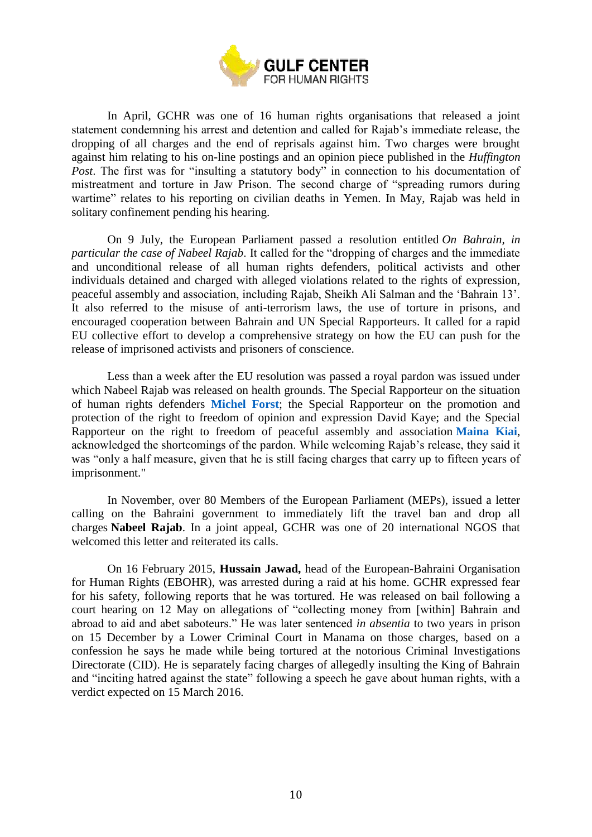

In April, GCHR was one of 16 human rights organisations that released a joint statement condemning his arrest and detention and called for Rajab's immediate release, the dropping of all charges and the end of reprisals against him. Two charges were brought against him relating to his on-line postings and an opinion piece published in the *Huffington Post*. The first was for "insulting a statutory body" in connection to his documentation of mistreatment and torture in Jaw Prison. The second charge of "spreading rumors during wartime" relates to his reporting on civilian deaths in Yemen. In May, Rajab was held in solitary confinement pending his hearing.

On 9 July, the European Parliament passed a resolution entitled *On Bahrain, in particular the case of Nabeel Rajab*. It called for the "dropping of charges and the immediate and unconditional release of all human rights defenders, political activists and other individuals detained and charged with alleged violations related to the rights of expression, peaceful assembly and association, including Rajab, Sheikh Ali Salman and the 'Bahrain 13'. It also referred to the misuse of anti-terrorism laws, the use of torture in prisons, and encouraged cooperation between Bahrain and UN Special Rapporteurs. It called for a rapid EU collective effort to develop a comprehensive strategy on how the EU can push for the release of imprisoned activists and prisoners of conscience.

Less than a week after the EU resolution was passed a royal pardon was issued under which Nabeel Rajab was released on health grounds. The Special Rapporteur on the situation of human rights defenders **[Michel Forst](https://www.protecting-defenders.org/)**; the Special Rapporteur on the promotion and protection of the right to freedom of opinion and expression David Kaye; and the Special Rapporteur on the right to freedom of peaceful assembly and association **[Maina](http://freeassembly.net/) Kiai**, acknowledged the shortcomings of the pardon. While welcoming Rajab's release, they said it was "only a half measure, given that he is still facing charges that carry up to fifteen years of imprisonment."

In November, over 80 Members of the European Parliament (MEPs), issued a letter calling on the Bahraini government to immediately lift the travel ban and drop all charges **Nabeel Rajab**. In a joint appeal, GCHR was one of 20 international NGOS that welcomed this letter and reiterated its calls.

On 16 February 2015, **Hussain Jawad,** head of the European-Bahraini Organisation for Human Rights (EBOHR), was arrested during a raid at his home. GCHR expressed fear for his safety, following reports that he was tortured. He was released on bail following a court hearing on 12 May on allegations of "collecting money from [within] Bahrain and abroad to aid and abet saboteurs." He was later sentenced *in absentia* to two years in prison on 15 December by a Lower Criminal Court in Manama on those charges, based on a confession he says he made while being tortured at the notorious Criminal Investigations Directorate (CID). He is separately facing charges of allegedly insulting the King of Bahrain and "inciting hatred against the state" following a speech he gave about human rights, with a verdict expected on 15 March 2016.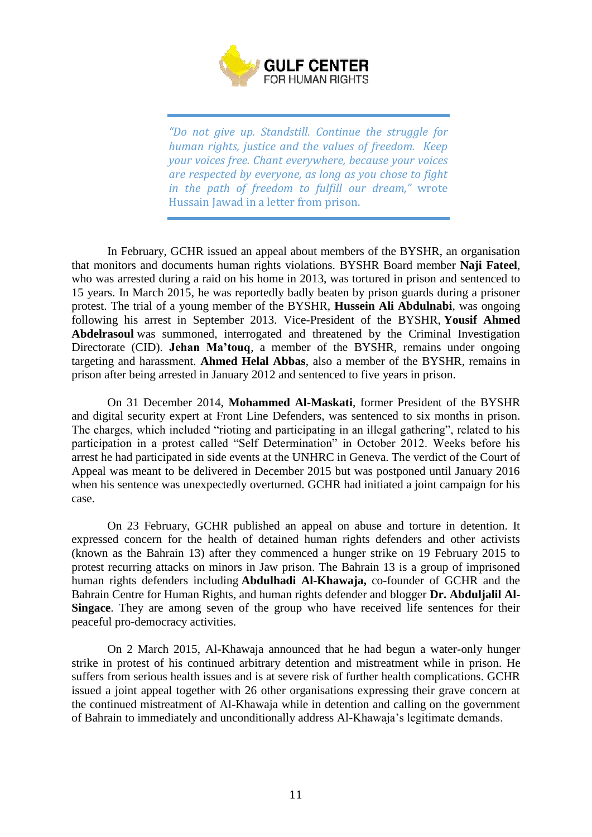

*"Do not give up. Standstill. Continue the struggle for human rights, justice and the values of freedom. Keep your voices free. Chant everywhere, because your voices are respected by everyone, as long as you chose to fight in the path of freedom to fulfill our dream,"* wrote Hussain Jawad in a letter from prison.

In February, GCHR issued an appeal about members of the BYSHR, an organisation that monitors and documents human rights violations. BYSHR Board member **Naji Fateel**, who was arrested during a raid on his home in 2013, was tortured in prison and sentenced to 15 years. In March 2015, he was reportedly badly beaten by prison guards during a prisoner protest. The trial of a young member of the BYSHR, **Hussein Ali Abdulnabi**, was ongoing following his arrest in September 2013. Vice-President of the BYSHR, **Yousif Ahmed Abdelrasoul** was summoned, interrogated and threatened by the Criminal Investigation Directorate (CID). **Jehan Ma'touq**, a member of the BYSHR, remains under ongoing targeting and harassment. **Ahmed Helal Abbas**, also a member of the BYSHR, remains in prison after being arrested in January 2012 and sentenced to five years in prison.

On 31 December 2014, **Mohammed Al-Maskati**, former President of the BYSHR and digital security expert at Front Line Defenders, was sentenced to six months in prison. The charges, which included "rioting and participating in an illegal gathering", related to his participation in a protest called "Self Determination" in October 2012. Weeks before his arrest he had participated in side events at the UNHRC in Geneva. The verdict of the Court of Appeal was meant to be delivered in December 2015 but was postponed until January 2016 when his sentence was unexpectedly overturned. GCHR had initiated a joint campaign for his case.

On 23 February, GCHR published an appeal on abuse and torture in detention. It expressed concern for the health of detained human rights defenders and other activists (known as the Bahrain 13) after they commenced a hunger strike on 19 February 2015 to protest recurring attacks on minors in Jaw prison. The Bahrain 13 is a group of imprisoned human rights defenders including **Abdulhadi Al-Khawaja,** co-founder of GCHR and the Bahrain Centre for Human Rights, and human rights defender and blogger **Dr. Abduljalil Al-Singace**. They are among seven of the group who have received life sentences for their peaceful pro-democracy activities.

On 2 March 2015, Al-Khawaja announced that he had begun a water-only hunger strike in protest of his continued arbitrary detention and mistreatment while in prison. He suffers from serious health issues and is at severe risk of further health complications. GCHR issued a joint appeal together with 26 other organisations expressing their grave concern at the continued mistreatment of Al-Khawaja while in detention and calling on the government of Bahrain to immediately and unconditionally address Al-Khawaja's legitimate demands.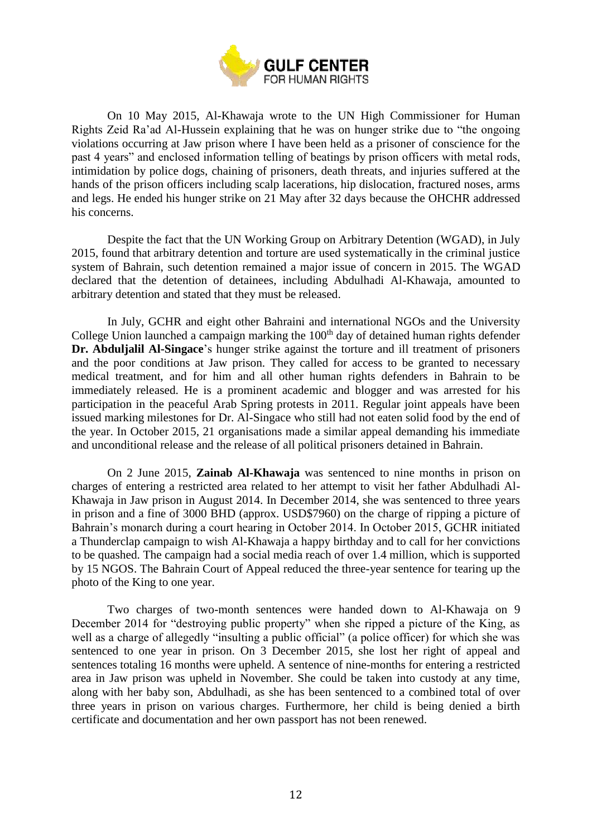

On 10 May 2015, Al-Khawaja wrote to the UN High Commissioner for Human Rights Zeid Ra'ad Al-Hussein explaining that he was on hunger strike due to "the ongoing violations occurring at Jaw prison where I have been held as a prisoner of conscience for the past 4 years" and enclosed information telling of beatings by prison officers with metal rods, intimidation by police dogs, chaining of prisoners, death threats, and injuries suffered at the hands of the prison officers including scalp lacerations, hip dislocation, fractured noses, arms and legs. He ended his hunger strike on 21 May after 32 days because the OHCHR addressed his concerns.

Despite the fact that the UN Working Group on Arbitrary Detention (WGAD), in July 2015, found that arbitrary detention and torture are used systematically in the criminal justice system of Bahrain, such detention remained a major issue of concern in 2015. The WGAD declared that the detention of detainees, including Abdulhadi Al-Khawaja, amounted to arbitrary detention and stated that they must be released.

In July, GCHR and eight other Bahraini and international NGOs and the University College Union launched a campaign marking the  $100<sup>th</sup>$  day of detained human rights defender **Dr. Abduljalil Al-Singace**'s hunger strike against the torture and ill treatment of prisoners and the poor conditions at Jaw prison. They called for access to be granted to necessary medical treatment, and for him and all other human rights defenders in Bahrain to be immediately released. He is a prominent academic and blogger and was arrested for his participation in the peaceful Arab Spring protests in 2011. Regular joint appeals have been issued marking milestones for Dr. Al-Singace who still had not eaten solid food by the end of the year. In October 2015, 21 organisations made a similar appeal demanding his immediate and unconditional release and the release of all political prisoners detained in Bahrain.

On 2 June 2015, **Zainab Al-Khawaja** was sentenced to nine months in prison on charges of entering a restricted area related to her attempt to visit her father Abdulhadi Al-Khawaja in Jaw prison in August 2014. In December 2014, she was sentenced to three years in prison and a fine of 3000 BHD (approx. USD\$7960) on the charge of ripping a picture of Bahrain's monarch during a court hearing in October 2014. In October 2015, GCHR initiated a Thunderclap campaign to wish Al-Khawaja a happy birthday and to call for her convictions to be quashed. The campaign had a social media reach of over 1.4 million, which is supported by 15 NGOS. The Bahrain Court of Appeal reduced the three-year sentence for tearing up the photo of the King to one year.

Two charges of two-month sentences were handed down to Al-Khawaja on 9 December 2014 for "destroying public property" when she ripped a picture of the King, as well as a charge of allegedly "insulting a public official" (a police officer) for which she was sentenced to one year in prison. On 3 December 2015, she lost her right of appeal and sentences totaling 16 months were upheld. A sentence of nine-months for entering a restricted area in Jaw prison was upheld in November. She could be taken into custody at any time, along with her baby son, Abdulhadi, as she has been sentenced to a combined total of over three years in prison on various charges. Furthermore, her child is being denied a birth certificate and documentation and her own passport has not been renewed.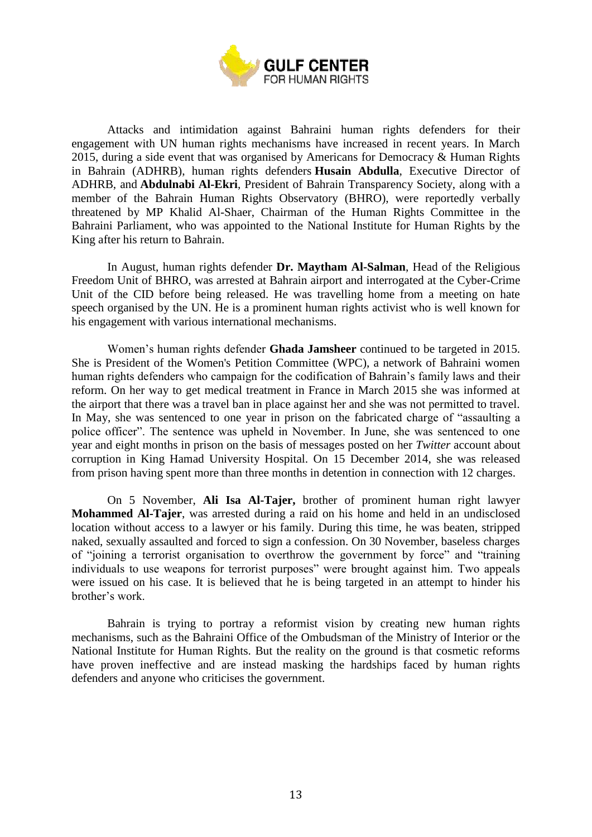

Attacks and intimidation against Bahraini human rights defenders for their engagement with UN human rights mechanisms have increased in recent years. In March 2015, during a side event that was organised by Americans for Democracy & Human Rights in Bahrain (ADHRB), human rights defenders **Husain Abdulla**, Executive Director of ADHRB, and **Abdulnabi Al-Ekri**, President of Bahrain Transparency Society, along with a member of the Bahrain Human Rights Observatory (BHRO), were reportedly verbally threatened by MP Khalid Al-Shaer, Chairman of the Human Rights Committee in the Bahraini Parliament, who was appointed to the National Institute for Human Rights by the King after his return to Bahrain.

In August, human rights defender **Dr. Maytham Al-Salman**, Head of the Religious Freedom Unit of BHRO, was arrested at Bahrain airport and interrogated at the Cyber-Crime Unit of the CID before being released. He was travelling home from a meeting on hate speech organised by the UN. He is a prominent human rights activist who is well known for his engagement with various international mechanisms.

Women's human rights defender **Ghada Jamsheer** continued to be targeted in 2015. She is President of the Women's Petition Committee (WPC), a network of Bahraini women human rights defenders who campaign for the codification of Bahrain's family laws and their reform. On her way to get medical treatment in France in March 2015 she was informed at the airport that there was a travel ban in place against her and she was not permitted to travel. In May, she was sentenced to one year in prison on the fabricated charge of "assaulting a police officer". The sentence was upheld in November. In June, she was sentenced to one year and eight months in prison on the basis of messages posted on her *Twitter* account about corruption in King Hamad University Hospital. On 15 December 2014, she was released from prison having spent more than three months in detention in connection with 12 charges.

On 5 November, **Ali Isa Al-Tajer,** brother of prominent human right lawyer **Mohammed Al-Tajer**, was arrested during a raid on his home and held in an undisclosed location without access to a lawyer or his family. During this time, he was beaten, stripped naked, sexually assaulted and forced to sign a confession. On 30 November, baseless charges of "joining a terrorist organisation to overthrow the government by force" and "training individuals to use weapons for terrorist purposes" were brought against him. Two appeals were issued on his case. It is believed that he is being targeted in an attempt to hinder his brother's work.

Bahrain is trying to portray a reformist vision by creating new human rights mechanisms, such as the Bahraini Office of the Ombudsman of the Ministry of Interior or the National Institute for Human Rights. But the reality on the ground is that cosmetic reforms have proven ineffective and are instead masking the hardships faced by human rights defenders and anyone who criticises the government.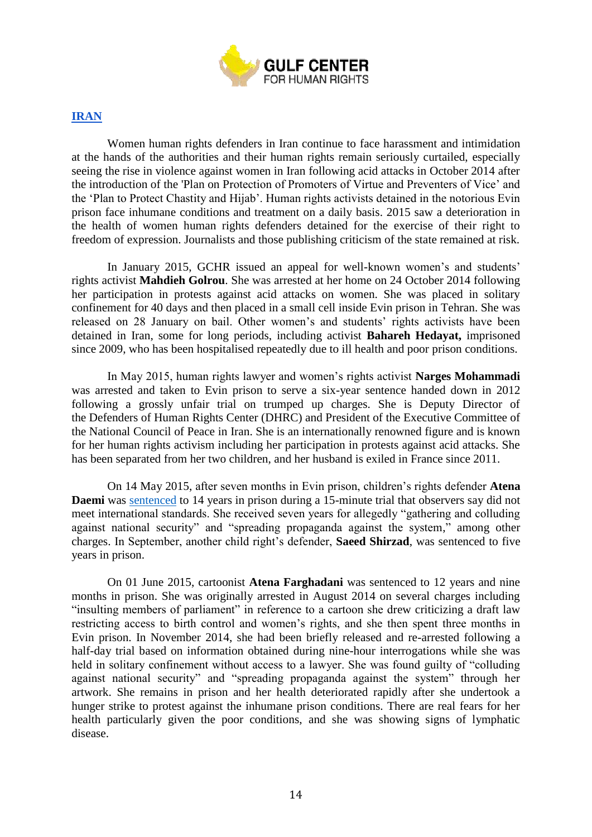

# <span id="page-13-0"></span>**[IRAN](http://www.gc4hr.org/news/index/country/12)**

Women human rights defenders in Iran continue to face harassment and intimidation at the hands of the authorities and their human rights remain seriously curtailed, especially seeing the rise in violence against women in Iran following acid attacks in October 2014 after the introduction of the 'Plan on Protection of Promoters of Virtue and Preventers of Vice' and the 'Plan to Protect Chastity and Hijab'. Human rights activists detained in the notorious Evin prison face inhumane conditions and treatment on a daily basis. 2015 saw a deterioration in the health of women human rights defenders detained for the exercise of their right to freedom of expression. Journalists and those publishing criticism of the state remained at risk.

In January 2015, GCHR issued an appeal for well-known women's and students' rights activist **Mahdieh Golrou**. She was arrested at her home on 24 October 2014 following her participation in protests against acid attacks on women. She was placed in solitary confinement for 40 days and then placed in a small cell inside Evin prison in Tehran. She was released on 28 January on bail. Other women's and students' rights activists have been detained in Iran, some for long periods, including activist **Bahareh Hedayat,** imprisoned since 2009, who has been hospitalised repeatedly due to ill health and poor prison conditions.

In May 2015, human rights lawyer and women's rights activist **Narges Mohammadi** was arrested and taken to Evin prison to serve a six-year sentence handed down in 2012 following a grossly unfair trial on trumped up charges. She is Deputy Director of the Defenders of Human Rights Center (DHRC) and President of the Executive Committee of the National Council of Peace in Iran. She is an internationally renowned figure and is known for her human rights activism including her participation in protests against acid attacks. She has been separated from her two children, and her husband is exiled in France since 2011.

On 14 May 2015, after seven months in Evin prison, children's rights defender **Atena Daemi** was [sentenced](https://www.frontlinedefenders.org/node/28748) to 14 years in prison during a 15-minute trial that observers say did not meet international standards. She received seven years for allegedly "gathering and colluding against national security" and "spreading propaganda against the system," among other charges. In September, another child right's defender, **Saeed Shirzad**, was sentenced to five years in prison.

On 01 June 2015, cartoonist **Atena Farghadani** was sentenced to 12 years and nine months in prison. She was originally arrested in August 2014 on several charges including "insulting members of parliament" in reference to a cartoon she drew criticizing a draft law restricting access to birth control and women's rights, and she then spent three months in Evin prison. In November 2014, she had been briefly released and re-arrested following a half-day trial based on information obtained during nine-hour interrogations while she was held in solitary confinement without access to a lawyer. She was found guilty of "colluding against national security" and "spreading propaganda against the system" through her artwork. She remains in prison and her health deteriorated rapidly after she undertook a hunger strike to protest against the inhumane prison conditions. There are real fears for her health particularly given the poor conditions, and she was showing signs of lymphatic disease.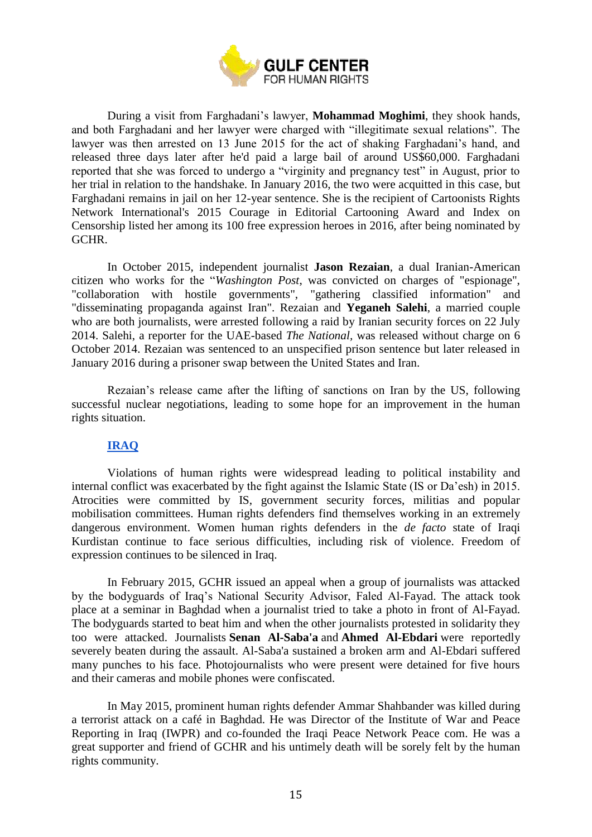

During a visit from Farghadani's lawyer, **Mohammad Moghimi**, they shook hands, and both Farghadani and her lawyer were charged with "illegitimate sexual relations". The lawyer was then arrested on 13 June 2015 for the act of shaking Farghadani's hand, and released three days later after he'd paid a large bail of around US\$60,000. Farghadani reported that she was forced to undergo a "virginity and pregnancy test" in August, prior to her trial in relation to the handshake. In January 2016, the two were acquitted in this case, but Farghadani remains in jail on her 12-year sentence. She is the recipient of Cartoonists Rights Network International's 2015 Courage in Editorial Cartooning Award and Index on Censorship listed her among its 100 free expression heroes in 2016, after being nominated by GCHR.

In October 2015, independent journalist **Jason Rezaian**, a dual Iranian-American citizen who works for the "*Washington Post*, was convicted on charges of "espionage", "collaboration with hostile governments", "gathering classified information" and "disseminating propaganda against Iran". Rezaian and **Yeganeh Salehi**, a married couple who are both journalists, were arrested following a raid by Iranian security forces on 22 July 2014. Salehi, a reporter for the UAE-based *The National,* was released without charge on 6 October 2014. Rezaian was sentenced to an unspecified prison sentence but later released in January 2016 during a prisoner swap between the United States and Iran.

Rezaian's release came after the lifting of sanctions on Iran by the US, following successful nuclear negotiations, leading to some hope for an improvement in the human rights situation.

# **[IRAQ](http://www.gc4hr.org/news/index/country/8)**

<span id="page-14-0"></span>Violations of human rights were widespread leading to political instability and internal conflict was exacerbated by the fight against the Islamic State (IS or Da'esh) in 2015. Atrocities were committed by IS, government security forces, militias and popular mobilisation committees. Human rights defenders find themselves working in an extremely dangerous environment. Women human rights defenders in the *de facto* state of Iraqi Kurdistan continue to face serious difficulties, including risk of violence. Freedom of expression continues to be silenced in Iraq.

In February 2015, GCHR issued an appeal when a group of journalists was attacked by the bodyguards of Iraq's National Security Advisor, Faled Al-Fayad. The attack took place at a seminar in Baghdad when a journalist tried to take a photo in front of Al-Fayad. The bodyguards started to beat him and when the other journalists protested in solidarity they too were attacked. Journalists **Senan Al-Saba'a** and **Ahmed Al-Ebdari** were reportedly severely beaten during the assault. Al-Saba'a sustained a broken arm and Al-Ebdari suffered many punches to his face. Photojournalists who were present were detained for five hours and their cameras and mobile phones were confiscated.

In May 2015, prominent human rights defender Ammar Shahbander was killed during a terrorist attack on a café in Baghdad. He was Director of the Institute of War and Peace Reporting in Iraq (IWPR) and co-founded the Iraqi Peace Network Peace com. He was a great supporter and friend of GCHR and his untimely death will be sorely felt by the human rights community.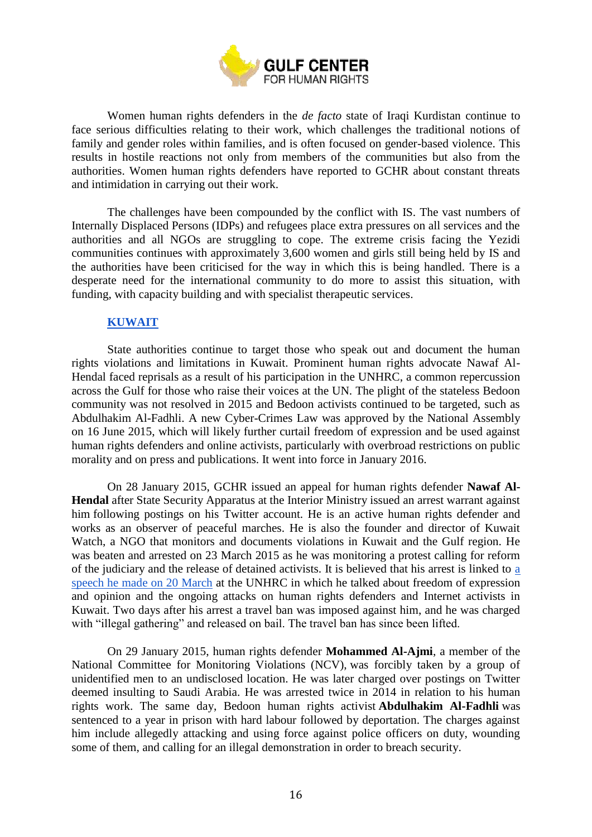

Women human rights defenders in the *de facto* state of Iraqi Kurdistan continue to face serious difficulties relating to their work, which challenges the traditional notions of family and gender roles within families, and is often focused on gender-based violence. This results in hostile reactions not only from members of the communities but also from the authorities. Women human rights defenders have reported to GCHR about constant threats and intimidation in carrying out their work.

The challenges have been compounded by the conflict with IS. The vast numbers of Internally Displaced Persons (IDPs) and refugees place extra pressures on all services and the authorities and all NGOs are struggling to cope. The extreme crisis facing the Yezidi communities continues with approximately 3,600 women and girls still being held by IS and the authorities have been criticised for the way in which this is being handled. There is a desperate need for the international community to do more to assist this situation, with funding, with capacity building and with specialist therapeutic services.

## **[KUWAIT](http://www.gc4hr.org/news/index/country/7)**

<span id="page-15-0"></span>State authorities continue to target those who speak out and document the human rights violations and limitations in Kuwait. Prominent human rights advocate Nawaf Al-Hendal faced reprisals as a result of his participation in the UNHRC, a common repercussion across the Gulf for those who raise their voices at the UN. The plight of the stateless Bedoon community was not resolved in 2015 and Bedoon activists continued to be targeted, such as Abdulhakim Al-Fadhli. A new Cyber-Crimes Law was approved by the National Assembly on 16 June 2015, which will likely further curtail freedom of expression and be used against human rights defenders and online activists, particularly with overbroad restrictions on public morality and on press and publications. It went into force in January 2016.

On 28 January 2015, GCHR issued an appeal for human rights defender **Nawaf Al-Hendal** after State Security Apparatus at the Interior Ministry issued an arrest warrant against him following postings on his Twitter account. He is an active human rights defender and works as an observer of peaceful marches. He is also the founder and director of Kuwait Watch, a NGO that monitors and documents violations in Kuwait and the Gulf region. He was beaten and arrested on 23 March 2015 as he was monitoring a protest calling for reform of the judiciary and the release of detained activists. It is believed that his arrest is linked to [a](http://webtv.un.org/search/item6-general-debate-43rd-meeting-28th-regular-session-of-human-rights-council/4124099790001)  [speech he made on 20 March](http://webtv.un.org/search/item6-general-debate-43rd-meeting-28th-regular-session-of-human-rights-council/4124099790001) at the UNHRC in which he talked about freedom of expression and opinion and the ongoing attacks on human rights defenders and Internet activists in Kuwait. Two days after his arrest a travel ban was imposed against him, and he was charged with "illegal gathering" and released on bail. The travel ban has since been lifted.

On 29 January 2015, human rights defender **Mohammed Al-Ajmi**, a member of the National Committee for Monitoring Violations (NCV), was forcibly taken by a group of unidentified men to an undisclosed location. He was later charged over postings on Twitter deemed insulting to Saudi Arabia. He was arrested twice in 2014 in relation to his human rights work. The same day, Bedoon human rights activist **Abdulhakim Al-Fadhli** was sentenced to a year in prison with hard labour followed by deportation. The charges against him include allegedly attacking and using force against police officers on duty, wounding some of them, and calling for an illegal demonstration in order to breach security.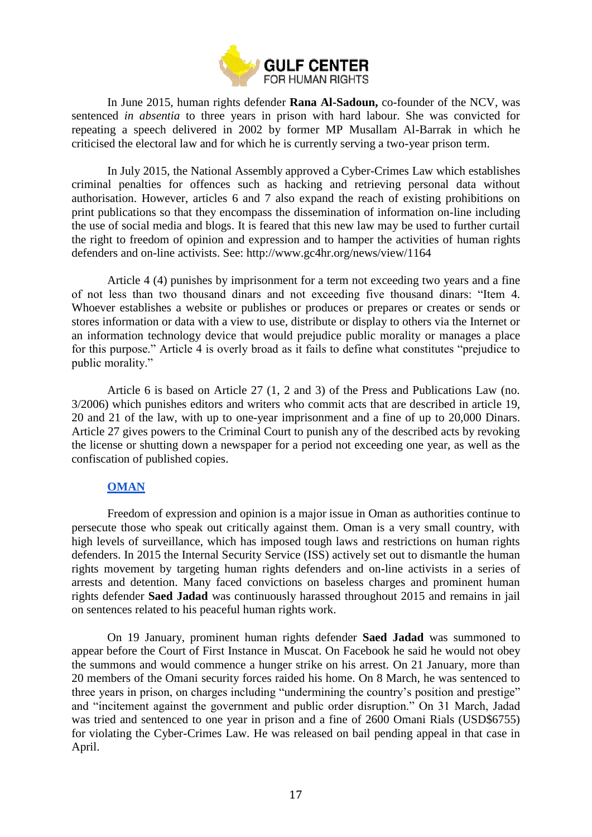

In June 2015, human rights defender **Rana Al-Sadoun,** co-founder of the NCV, was sentenced *in absentia* to three years in prison with hard labour. She was convicted for repeating a speech delivered in 2002 by former MP Musallam Al-Barrak in which he criticised the electoral law and for which he is currently serving a two-year prison term.

In July 2015, the National Assembly approved a Cyber-Crimes Law which establishes criminal penalties for offences such as hacking and retrieving personal data without authorisation. However, articles 6 and 7 also expand the reach of existing prohibitions on print publications so that they encompass the dissemination of information on-line including the use of social media and blogs. It is feared that this new law may be used to further curtail the right to freedom of opinion and expression and to hamper the activities of human rights defenders and on-line activists. See: http://www.gc4hr.org/news/view/1164

Article 4 (4) punishes by imprisonment for a term not exceeding two years and a fine of not less than two thousand dinars and not exceeding five thousand dinars: "Item 4. Whoever establishes a website or publishes or produces or prepares or creates or sends or stores information or data with a view to use, distribute or display to others via the Internet or an information technology device that would prejudice public morality or manages a place for this purpose." Article 4 is overly broad as it fails to define what constitutes "prejudice to public morality."

Article 6 is based on Article 27 (1, 2 and 3) of the Press and Publications Law (no. 3/2006) which punishes editors and writers who commit acts that are described in article 19, 20 and 21 of the law, with up to one-year imprisonment and a fine of up to 20,000 Dinars. Article 27 gives powers to the Criminal Court to punish any of the described acts by revoking the license or shutting down a newspaper for a period not exceeding one year, as well as the confiscation of published copies.

#### **[OMAN](http://www.gc4hr.org/news/index/country/6)**

<span id="page-16-0"></span>Freedom of expression and opinion is a major issue in Oman as authorities continue to persecute those who speak out critically against them. Oman is a very small country, with high levels of surveillance, which has imposed tough laws and restrictions on human rights defenders. In 2015 the Internal Security Service (ISS) actively set out to dismantle the human rights movement by targeting human rights defenders and on-line activists in a series of arrests and detention. Many faced convictions on baseless charges and prominent human rights defender **Saed Jadad** was continuously harassed throughout 2015 and remains in jail on sentences related to his peaceful human rights work.

On 19 January, prominent human rights defender **Saed Jadad** was summoned to appear before the Court of First Instance in Muscat. On Facebook he said he would not obey the summons and would commence a hunger strike on his arrest. On 21 January, more than 20 members of the Omani security forces raided his home. On 8 March, he was sentenced to three years in prison, on charges including "undermining the country's position and prestige" and "incitement against the government and public order disruption." On 31 March, Jadad was tried and sentenced to one year in prison and a fine of 2600 Omani Rials (USD\$6755) for violating the Cyber-Crimes Law. He was released on bail pending appeal in that case in April.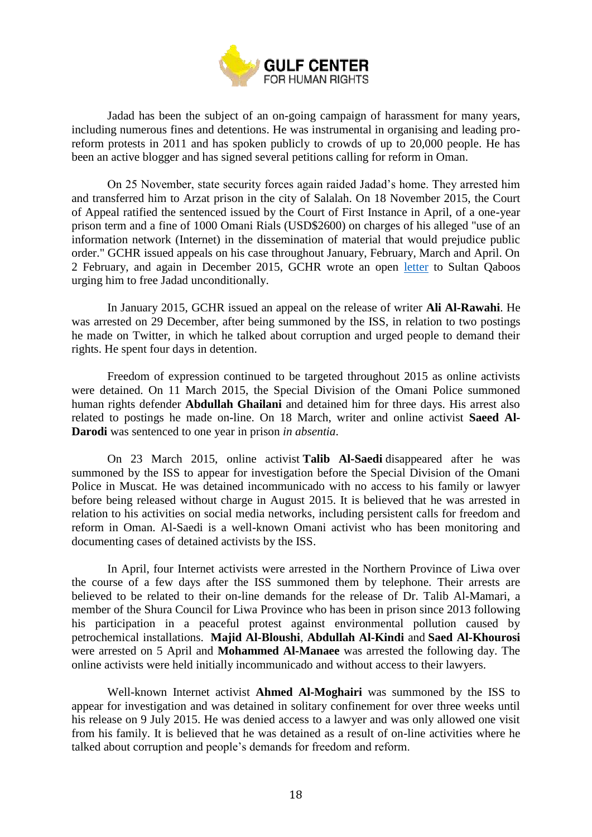

Jadad has been the subject of an on-going campaign of harassment for many years, including numerous fines and detentions. He was instrumental in organising and leading proreform protests in 2011 and has spoken publicly to crowds of up to 20,000 people. He has been an active blogger and has signed several petitions calling for reform in Oman.

On 25 November, state security forces again raided Jadad's home. They arrested him and transferred him to Arzat prison in the city of Salalah. On 18 November 2015, the Court of Appeal ratified the sentenced issued by the Court of First Instance in April, of a one-year prison term and a fine of 1000 Omani Rials (USD\$2600) on charges of his alleged "use of an information network (Internet) in the dissemination of material that would prejudice public order." GCHR issued appeals on his case throughout January, February, March and April. On 2 February, and again in December 2015, GCHR wrote an open [letter](http://www.gc4hr.org/news/view/1150) to Sultan Qaboos urging him to free Jadad unconditionally.

In January 2015, GCHR issued an appeal on the release of writer **Ali Al-Rawahi**. He was arrested on 29 December, after being summoned by the ISS, in relation to two postings he made on Twitter, in which he talked about corruption and urged people to demand their rights. He spent four days in detention.

Freedom of expression continued to be targeted throughout 2015 as online activists were detained. On 11 March 2015, the Special Division of the Omani Police summoned human rights defender **Abdullah Ghailani** and detained him for three days. His arrest also related to postings he made on-line. On 18 March, writer and online activist **Saeed Al-Darodi** was sentenced to one year in prison *in absentia*.

On 23 March 2015, online activist **Talib Al-Saedi** disappeared after he was summoned by the ISS to appear for investigation before the Special Division of the Omani Police in Muscat. He was detained incommunicado with no access to his family or lawyer before being released without charge in August 2015. It is believed that he was arrested in relation to his activities on social media networks, including persistent calls for freedom and reform in Oman. Al-Saedi is a well-known Omani activist who has been monitoring and documenting cases of detained activists by the ISS.

In April, four Internet activists were arrested in the Northern Province of Liwa over the course of a few days after the ISS summoned them by telephone. Their arrests are believed to be related to their on-line demands for the release of Dr. Talib Al-Mamari, a member of the Shura Council for Liwa Province who has been in prison since 2013 following his participation in a peaceful protest against environmental pollution caused by petrochemical installations. **Majid Al-Bloushi**, **Abdullah Al-Kindi** and **Saed Al-Khourosi** were arrested on 5 April and **Mohammed Al-Manaee** was arrested the following day. The online activists were held initially incommunicado and without access to their lawyers.

Well-known Internet activist **Ahmed Al-Moghairi** was summoned by the ISS to appear for investigation and was detained in solitary confinement for over three weeks until his release on 9 July 2015. He was denied access to a lawyer and was only allowed one visit from his family. It is believed that he was detained as a result of on-line activities where he talked about corruption and people's demands for freedom and reform.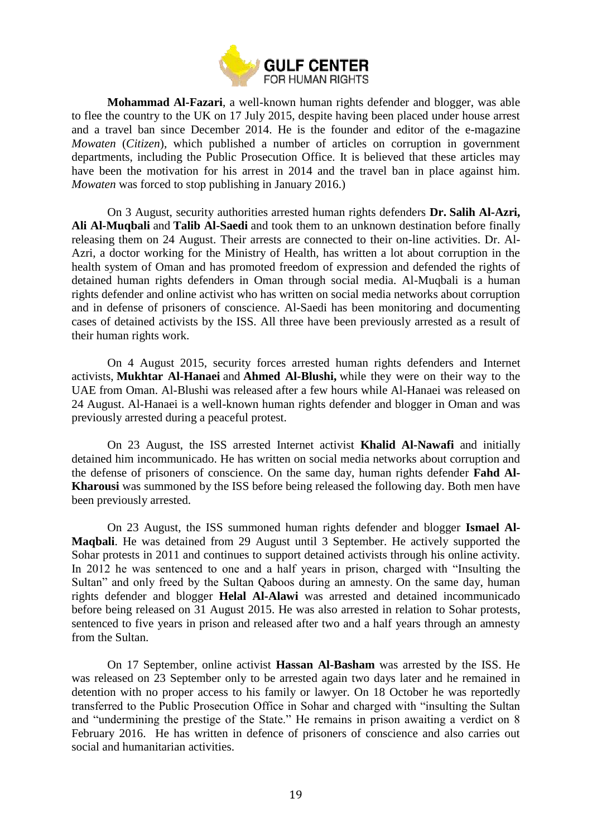

**Mohammad Al-Fazari**, a well-known human rights defender and blogger, was able to flee the country to the UK on 17 July 2015, despite having been placed under house arrest and a travel ban since December 2014. He is the founder and editor of the e-magazine *Mowaten* (*Citizen*), which published a number of articles on corruption in government departments, including the Public Prosecution Office. It is believed that these articles may have been the motivation for his arrest in 2014 and the travel ban in place against him. *Mowaten* was forced to stop publishing in January 2016.)

On 3 August, security authorities arrested human rights defenders **Dr. Salih Al-Azri, Ali Al-Muqbali** and **Talib Al-Saedi** and took them to an unknown destination before finally releasing them on 24 August. Their arrests are connected to their on-line activities. Dr. Al-Azri, a doctor working for the Ministry of Health, has written a lot about corruption in the health system of Oman and has promoted freedom of expression and defended the rights of detained human rights defenders in Oman through social media. Al-Muqbali is a human rights defender and online activist who has written on social media networks about corruption and in defense of prisoners of conscience. Al-Saedi has been monitoring and documenting cases of detained activists by the ISS. All three have been previously arrested as a result of their human rights work.

On 4 August 2015, security forces arrested human rights defenders and Internet activists, **Mukhtar Al-Hanaei** and **Ahmed Al-Blushi,** while they were on their way to the UAE from Oman. Al-Blushi was released after a few hours while Al-Hanaei was released on 24 August. Al-Hanaei is a well-known human rights defender and blogger in Oman and was previously arrested during a peaceful protest.

On 23 August, the ISS arrested Internet activist **Khalid Al-Nawafi** and initially detained him incommunicado. He has written on social media networks about corruption and the defense of prisoners of conscience. On the same day, human rights defender **Fahd Al-Kharousi** was summoned by the ISS before being released the following day. Both men have been previously arrested.

On 23 August, the ISS summoned human rights defender and blogger **Ismael Al-Maqbali**. He was detained from 29 August until 3 September. He actively supported the Sohar protests in 2011 and continues to support detained activists through his online activity. In 2012 he was sentenced to one and a half years in prison, charged with "Insulting the Sultan" and only freed by the Sultan Qaboos during an amnesty. On the same day, human rights defender and blogger **Helal Al-Alawi** was arrested and detained incommunicado before being released on 31 August 2015. He was also arrested in relation to Sohar protests, sentenced to five years in prison and released after two and a half years through an amnesty from the Sultan.

On 17 September, online activist **Hassan Al-Basham** was arrested by the ISS. He was released on 23 September only to be arrested again two days later and he remained in detention with no proper access to his family or lawyer. On 18 October he was reportedly transferred to the Public Prosecution Office in Sohar and charged with "insulting the Sultan and "undermining the prestige of the State." He remains in prison awaiting a verdict on 8 February 2016. He has written in defence of prisoners of conscience and also carries out social and humanitarian activities.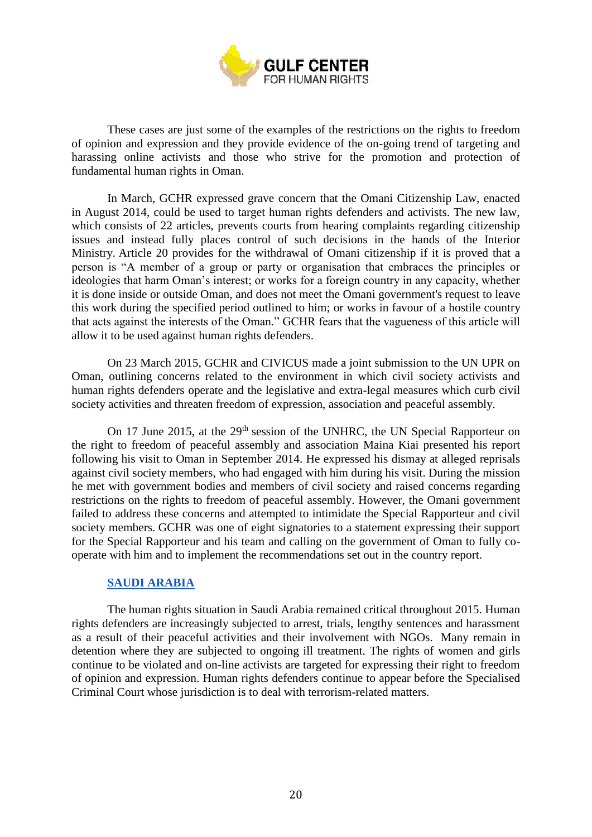

These cases are just some of the examples of the restrictions on the rights to freedom of opinion and expression and they provide evidence of the on-going trend of targeting and harassing online activists and those who strive for the promotion and protection of fundamental human rights in Oman.

In March, GCHR expressed grave concern that the Omani Citizenship Law, enacted in August 2014, could be used to target human rights defenders and activists. The new law, which consists of 22 articles, prevents courts from hearing complaints regarding citizenship issues and instead fully places control of such decisions in the hands of the Interior Ministry. Article 20 provides for the withdrawal of Omani citizenship if it is proved that a person is "A member of a group or party or organisation that embraces the principles or ideologies that harm Oman's interest; or works for a foreign country in any capacity, whether it is done inside or outside Oman, and does not meet the Omani government's request to leave this work during the specified period outlined to him; or works in favour of a hostile country that acts against the interests of the Oman." GCHR fears that the vagueness of this article will allow it to be used against human rights defenders.

On 23 March 2015, GCHR and CIVICUS made a joint submission to the UN UPR on Oman, outlining concerns related to the environment in which civil society activists and human rights defenders operate and the legislative and extra-legal measures which curb civil society activities and threaten freedom of expression, association and peaceful assembly.

On 17 June 2015, at the 29<sup>th</sup> session of the UNHRC, the UN Special Rapporteur on the right to freedom of peaceful assembly and association Maina Kiai presented his report following his visit to Oman in September 2014. He expressed his dismay at alleged reprisals against civil society members, who had engaged with him during his visit. During the mission he met with government bodies and members of civil society and raised concerns regarding restrictions on the rights to freedom of peaceful assembly. However, the Omani government failed to address these concerns and attempted to intimidate the Special Rapporteur and civil society members. GCHR was one of eight signatories to a statement expressing their support for the Special Rapporteur and his team and calling on the government of Oman to fully cooperate with him and to implement the recommendations set out in the country report.

#### **[SAUDI ARABIA](http://www.gc4hr.org/news/index/country/3)**

<span id="page-19-0"></span>The human rights situation in Saudi Arabia remained critical throughout 2015. Human rights defenders are increasingly subjected to arrest, trials, lengthy sentences and harassment as a result of their peaceful activities and their involvement with NGOs. Many remain in detention where they are subjected to ongoing ill treatment. The rights of women and girls continue to be violated and on-line activists are targeted for expressing their right to freedom of opinion and expression. Human rights defenders continue to appear before the Specialised Criminal Court whose jurisdiction is to deal with terrorism-related matters.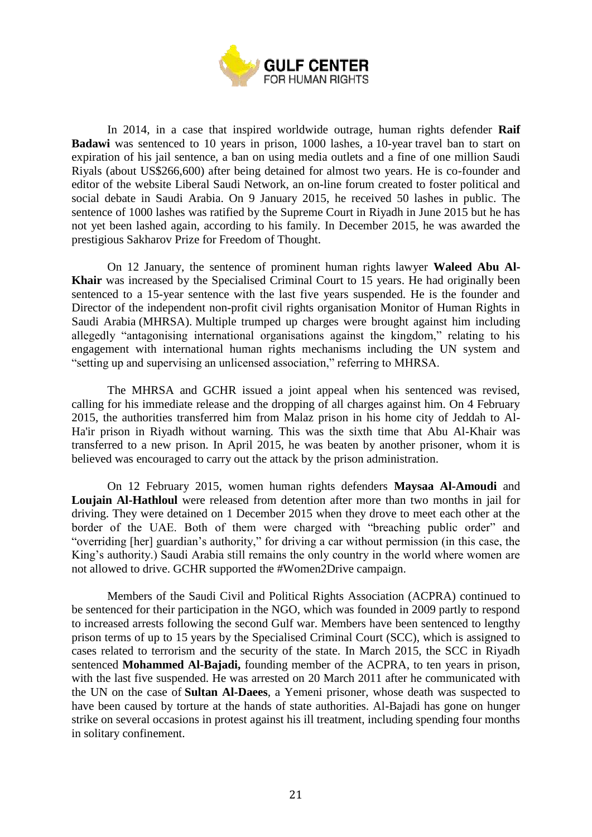

In 2014, in a case that inspired worldwide outrage, human rights defender **Raif Badawi** was sentenced to 10 years in prison, 1000 lashes, a 10-year travel ban to start on expiration of his jail sentence, a ban on using media outlets and a fine of one million Saudi Riyals (about US\$266,600) after being detained for almost two years. He is co-founder and editor of the website Liberal Saudi Network, an on-line forum created to foster political and social debate in Saudi Arabia. On 9 January 2015, he received 50 lashes in public. The sentence of 1000 lashes was ratified by the Supreme Court in Riyadh in June 2015 but he has not yet been lashed again, according to his family. In December 2015, he was awarded the prestigious Sakharov Prize for Freedom of Thought.

On 12 January, the sentence of prominent human rights lawyer **Waleed Abu Al-Khair** was increased by the Specialised Criminal Court to 15 years. He had originally been sentenced to a 15-year sentence with the last five years suspended. He is the founder and Director of the independent non-profit civil rights organisation Monitor of Human Rights in Saudi Arabia (MHRSA). Multiple trumped up charges were brought against him including allegedly "antagonising international organisations against the kingdom," relating to his engagement with international human rights mechanisms including the UN system and "setting up and supervising an unlicensed association," referring to MHRSA.

The MHRSA and GCHR issued a joint appeal when his sentenced was revised, calling for his immediate release and the dropping of all charges against him. On 4 February 2015, the authorities transferred him from Malaz prison in his home city of Jeddah to Al-Ha'ir prison in Riyadh without warning. This was the sixth time that Abu Al-Khair was transferred to a new prison. In April 2015, he was beaten by another prisoner, whom it is believed was encouraged to carry out the attack by the prison administration.

On 12 February 2015, women human rights defenders **Maysaa Al-Amoudi** and **Loujain Al-Hathloul** were released from detention after more than two months in jail for driving. They were detained on 1 December 2015 when they drove to meet each other at the border of the UAE. Both of them were charged with "breaching public order" and "overriding [her] guardian's authority," for driving a car without permission (in this case, the King's authority.) Saudi Arabia still remains the only country in the world where women are not allowed to drive. GCHR supported the #Women2Drive campaign.

Members of the Saudi Civil and Political Rights Association (ACPRA) continued to be sentenced for their participation in the NGO, which was founded in 2009 partly to respond to increased arrests following the second Gulf war. Members have been sentenced to lengthy prison terms of up to 15 years by the Specialised Criminal Court (SCC), which is assigned to cases related to terrorism and the security of the state. In March 2015, the SCC in Riyadh sentenced **Mohammed Al-Bajadi,** founding member of the ACPRA, to ten years in prison, with the last five suspended. He was arrested on 20 March 2011 after he communicated with the UN on the case of **Sultan Al-Daees**, a Yemeni prisoner, whose death was suspected to have been caused by torture at the hands of state authorities. Al-Bajadi has gone on hunger strike on several occasions in protest against his ill treatment, including spending four months in solitary confinement.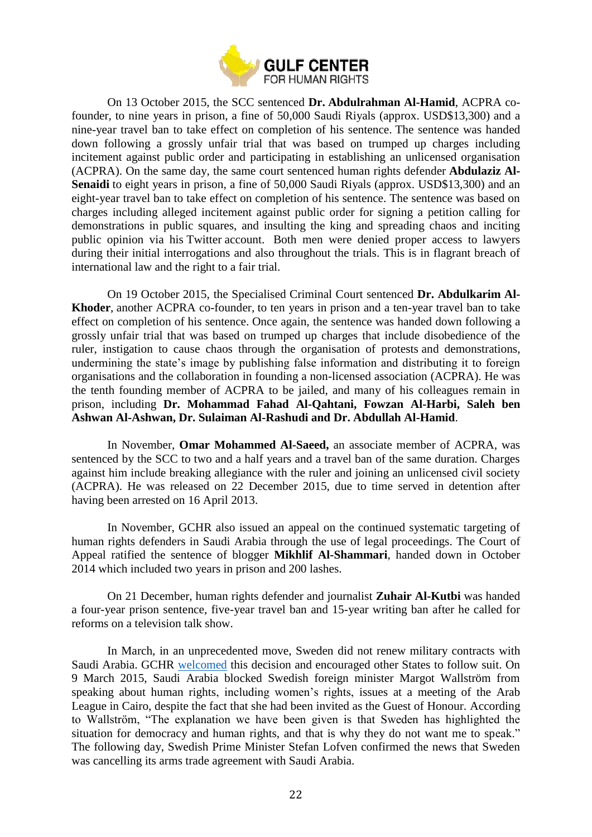

On 13 October 2015, the SCC sentenced **Dr. Abdulrahman Al-Hamid**, ACPRA cofounder, to nine years in prison, a fine of 50,000 Saudi Riyals (approx. USD\$13,300) and a nine-year travel ban to take effect on completion of his sentence. The sentence was handed down following a grossly unfair trial that was based on trumped up charges including incitement against public order and participating in establishing an unlicensed organisation (ACPRA). On the same day, the same court sentenced human rights defender **Abdulaziz Al-Senaidi** to eight years in prison, a fine of 50,000 Saudi Riyals (approx. USD\$13,300) and an eight-year travel ban to take effect on completion of his sentence. The sentence was based on charges including alleged incitement against public order for signing a petition calling for demonstrations in public squares, and insulting the king and spreading chaos and inciting public opinion via his Twitter account. Both men were denied proper access to lawyers during their initial interrogations and also throughout the trials. This is in flagrant breach of international law and the right to a fair trial.

On 19 October 2015, the Specialised Criminal Court sentenced **Dr. Abdulkarim Al-Khoder**, another ACPRA co-founder, to ten years in prison and a ten-year travel ban to take effect on completion of his sentence. Once again, the sentence was handed down following a grossly unfair trial that was based on trumped up charges that include disobedience of the ruler, instigation to cause chaos through the organisation of protests and demonstrations, undermining the state's image by publishing false information and distributing it to foreign organisations and the collaboration in founding a non-licensed association (ACPRA). He was the tenth founding member of ACPRA to be jailed, and many of his colleagues remain in prison, including **Dr. Mohammad Fahad Al-Qahtani, Fowzan Al-Harbi, Saleh ben Ashwan Al-Ashwan, Dr. Sulaiman Al-Rashudi and Dr. Abdullah Al-Hamid**.

In November, **Omar Mohammed Al-Saeed,** an associate member of ACPRA, was sentenced by the SCC to two and a half years and a travel ban of the same duration. Charges against him include breaking allegiance with the ruler and joining an unlicensed civil society (ACPRA). He was released on 22 December 2015, due to time served in detention after having been arrested on 16 April 2013.

In November, GCHR also issued an appeal on the continued systematic targeting of human rights defenders in Saudi Arabia through the use of legal proceedings. The Court of Appeal ratified the sentence of blogger **Mikhlif Al-Shammari**, handed down in October 2014 which included two years in prison and 200 lashes.

On 21 December, human rights defender and journalist **Zuhair Al-Kutbi** was handed a four-year prison sentence, five-year travel ban and 15-year writing ban after he called for reforms on a television talk show.

In March, in an unprecedented move, Sweden did not renew military contracts with Saudi Arabia. GCHR [welcomed](http://www.gc4hr.org/news/view/948) this decision and encouraged other States to follow suit. On 9 March 2015, Saudi Arabia blocked Swedish foreign minister Margot Wallström from speaking about human rights, including women's rights, issues at a meeting of the Arab League in Cairo, despite the fact that she had been invited as the Guest of Honour. According to Wallström, "The explanation we have been given is that Sweden has highlighted the situation for democracy and human rights, and that is why they do not want me to speak." The following day, Swedish Prime Minister Stefan Lofven confirmed the news that Sweden was cancelling its arms trade agreement with Saudi Arabia.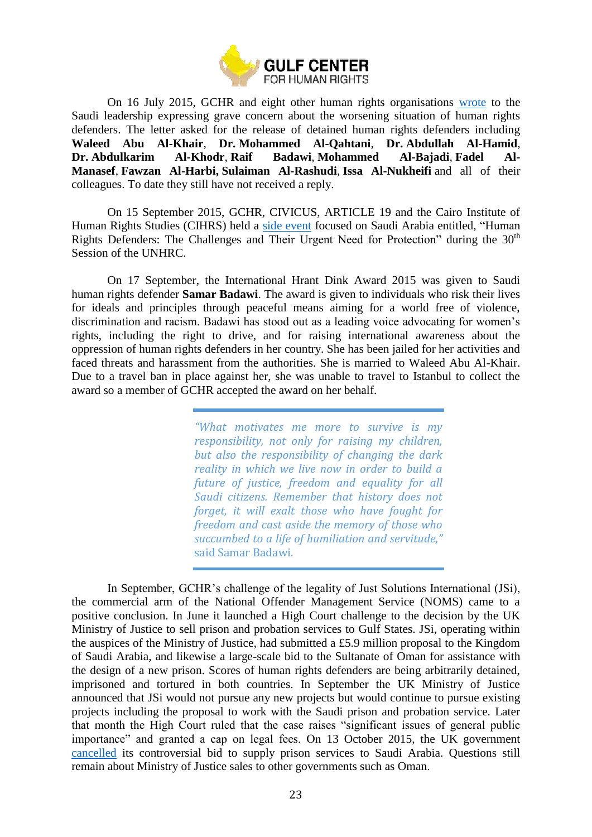

On 16 July 2015, GCHR and eight other human rights organisations [wrote](http://www.gc4hr.org/news/view/1080) to the Saudi leadership expressing grave concern about the worsening situation of human rights defenders. The letter asked for the release of detained human rights defenders including **Waleed Abu Al-Khair**, **Dr. Mohammed Al-Qahtani**, **Dr. Abdullah Al-Hamid**, **Dr. Abdulkarim Al-Khodr**, **Raif Badawi**, **Mohammed Al-Bajadi**, **Fadel Al-Manasef**, **Fawzan Al-Harbi, Sulaiman Al-Rashudi**, **Issa Al-Nukheifi** and all of their colleagues. To date they still have not received a reply.

On 15 September 2015, GCHR, CIVICUS, ARTICLE 19 and the Cairo Institute of Human Rights Studies (CIHRS) held a [side event](http://www.gc4hr.org/news/view/1087) focused on Saudi Arabia entitled, "Human Rights Defenders: The Challenges and Their Urgent Need for Protection" during the 30<sup>th</sup> Session of the UNHRC.

On 17 September, the International Hrant Dink Award 2015 was given to Saudi human rights defender **Samar Badawi**. The award is given to individuals who risk their lives for ideals and principles through peaceful means aiming for a world free of violence, discrimination and racism. Badawi has stood out as a leading voice advocating for women's rights, including the right to drive, and for raising international awareness about the oppression of human rights defenders in her country. She has been jailed for her activities and faced threats and harassment from the authorities. She is married to Waleed Abu Al-Khair. Due to a travel ban in place against her, she was unable to travel to Istanbul to collect the award so a member of GCHR accepted the award on her behalf.

> *"What motivates me more to survive is my responsibility, not only for raising my children, but also the responsibility of changing the dark reality in which we live now in order to build a future of justice, freedom and equality for all Saudi citizens. Remember that history does not forget, it will exalt those who have fought for freedom and cast aside the memory of those who succumbed to a life of humiliation and servitude,"* said Samar Badawi.

In September, GCHR's challenge of the legality of Just Solutions International (JSi), the commercial arm of the National Offender Management Service (NOMS) came to a positive conclusion. In June it launched a High Court challenge to the decision by the UK Ministry of Justice to sell prison and probation services to Gulf States. JSi, operating within the auspices of the Ministry of Justice, had submitted a £5.9 million proposal to the Kingdom of Saudi Arabia, and likewise a large-scale bid to the Sultanate of Oman for assistance with the design of a new prison. Scores of human rights defenders are being arbitrarily detained, imprisoned and tortured in both countries. In September the UK Ministry of Justice announced that JSi would not pursue any new projects but would continue to pursue existing projects including the proposal to work with the Saudi prison and probation service. Later that month the High Court ruled that the case raises "significant issues of general public importance" and granted a cap on legal fees. On 13 October 2015, the UK government [cancelled](http://www.gc4hr.org/news/view/1103) its controversial bid to supply prison services to Saudi Arabia. Questions still remain about Ministry of Justice sales to other governments such as Oman.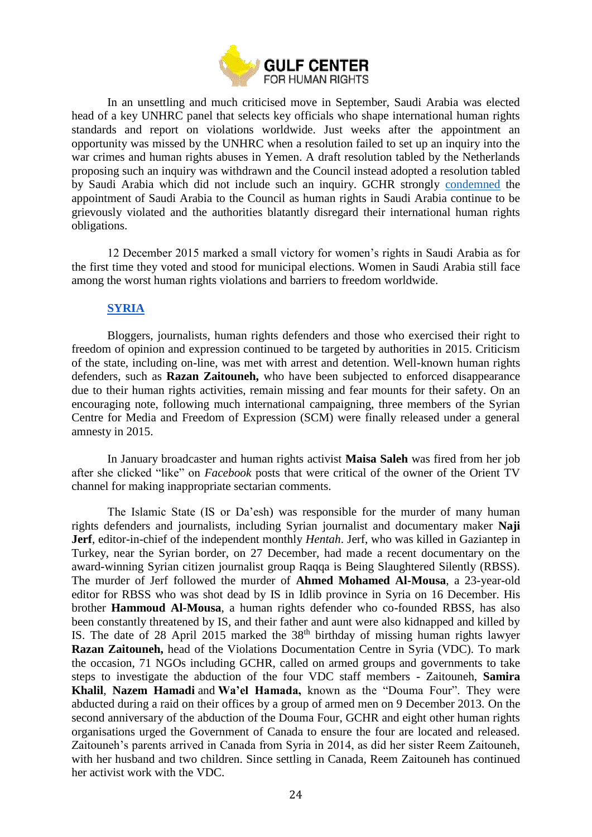

In an unsettling and much criticised move in September, Saudi Arabia was elected head of a key UNHRC panel that selects key officials who shape international human rights standards and report on violations worldwide. Just weeks after the appointment an opportunity was missed by the UNHRC when a resolution failed to set up an inquiry into the war crimes and human rights abuses in Yemen. A draft resolution tabled by the Netherlands proposing such an inquiry was withdrawn and the Council instead adopted a resolution tabled by Saudi Arabia which did not include such an inquiry. GCHR strongly [condemned](http://www.gc4hr.org/news/view/1095) the appointment of Saudi Arabia to the Council as human rights in Saudi Arabia continue to be grievously violated and the authorities blatantly disregard their international human rights obligations.

12 December 2015 marked a small victory for women's rights in Saudi Arabia as for the first time they voted and stood for municipal elections. Women in Saudi Arabia still face among the worst human rights violations and barriers to freedom worldwide.

## **[SYRIA](http://www.gc4hr.org/news/index/country/10)**

<span id="page-23-0"></span>Bloggers, journalists, human rights defenders and those who exercised their right to freedom of opinion and expression continued to be targeted by authorities in 2015. Criticism of the state, including on-line, was met with arrest and detention. Well-known human rights defenders, such as **Razan Zaitouneh,** who have been subjected to enforced disappearance due to their human rights activities, remain missing and fear mounts for their safety. On an encouraging note, following much international campaigning, three members of the Syrian Centre for Media and Freedom of Expression (SCM) were finally released under a general amnesty in 2015.

In January broadcaster and human rights activist **Maisa Saleh** was fired from her job after she clicked "like" on *Facebook* posts that were critical of the owner of the Orient TV channel for making inappropriate sectarian comments.

The Islamic State (IS or Da'esh) was responsible for the murder of many human rights defenders and journalists, including Syrian journalist and documentary maker **Naji Jerf**, editor-in-chief of the independent monthly *[Hentah](http://www.hentah.com/)*. Jerf, who was killed in Gaziantep in Turkey, near the Syrian border, on 27 December, had made a recent documentary on the award-winning Syrian citizen journalist group Raqqa is Being Slaughtered Silently (RBSS). The murder of Jerf followed the murder of **Ahmed Mohamed Al-Mousa**, a 23-year-old editor for RBSS who was shot dead by IS in [Idlib province](http://www.alaan.tv/news/world-news/144913/masked-assassinate-syrian-journalist-ahmed-mousa-team-tenderness-slaughtered-silently) in Syria on 16 December. His brother **Hammoud Al-Mousa**, a human rights defender who co-founded RBSS, has also been constantly threatened by IS, and their father and aunt were also kidnapped and killed by IS. The date of 28 April 2015 marked the  $38<sup>th</sup>$  birthday of missing human rights lawyer **Razan Zaitouneh,** head of the Violations Documentation Centre in Syria (VDC). To mark the occasion, 71 NGOs including GCHR, called on armed groups and governments to take steps to investigate the abduction of the four VDC staff members - Zaitouneh, **Samira Khalil**, **Nazem Hamadi** and **Wa'el Hamada,** known as the "Douma Four". They were abducted during a raid on their offices by a group of armed men on 9 December 2013. On the second anniversary of the abduction of the Douma Four, GCHR and eight other human rights organisations urged the Government of Canada to ensure the four are located and released. Zaitouneh's parents arrived in Canada from Syria in 2014, as did her sister Reem Zaitouneh, with her husband and two children. Since settling in Canada, Reem Zaitouneh has continued her activist work with the VDC.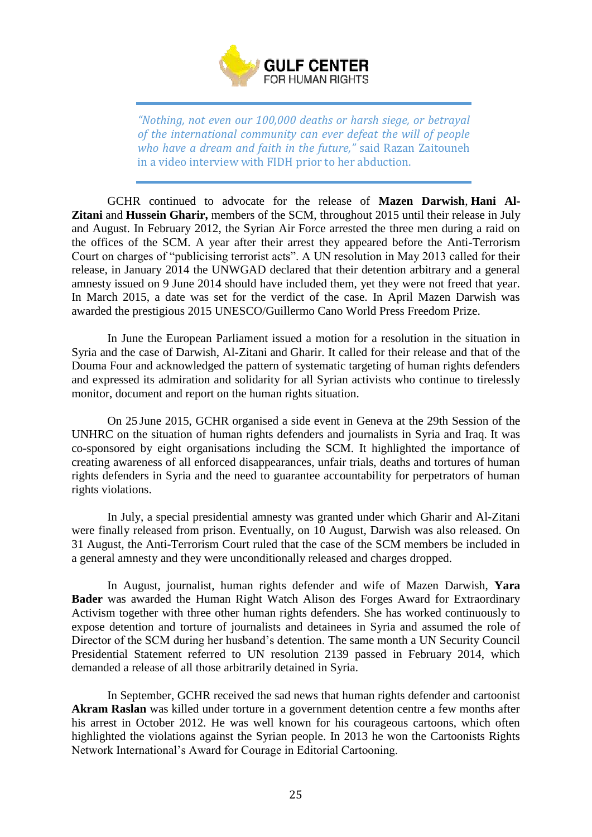

*"Nothing, not even our 100,000 deaths or harsh siege, or betrayal of the international community can ever defeat the will of people who have a dream and faith in the future,"* said Razan Zaitouneh in a video interview with FIDH prior to her abduction.

GCHR continued to advocate for the release of **Mazen Darwish**, **Hani Al-Zitani** and **Hussein Gharir,** members of the SCM, throughout 2015 until their release in July and August. In February 2012, the Syrian Air Force arrested the three men during a raid on the offices of the SCM. A year after their arrest they appeared before the Anti-Terrorism Court on charges of "publicising terrorist acts". A UN resolution in May 2013 called for their release, in January 2014 the UNWGAD declared that their detention arbitrary and a general amnesty issued on 9 June 2014 should have included them, yet they were not freed that year. In March 2015, a date was set for the verdict of the case. In April Mazen Darwish was awarded the prestigious 2015 UNESCO/Guillermo Cano World Press Freedom Prize.

In June the European Parliament issued a motion for a resolution in the situation in Syria and the case of Darwish, Al-Zitani and Gharir. It called for their release and that of the Douma Four and acknowledged the pattern of systematic targeting of human rights defenders and expressed its admiration and solidarity for all Syrian activists who continue to tirelessly monitor, document and report on the human rights situation.

On 25 June 2015, GCHR organised a side event in Geneva at the 29th Session of the UNHRC on the situation of human rights defenders and journalists in Syria and Iraq. It was co-sponsored by eight organisations including the SCM. It highlighted the importance of creating awareness of all enforced disappearances, unfair trials, deaths and tortures of human rights defenders in Syria and the need to guarantee accountability for perpetrators of human rights violations.

In July, a special presidential amnesty was granted under which Gharir and Al-Zitani were finally released from prison. Eventually, on 10 August, Darwish was also released. On 31 August, the Anti-Terrorism Court ruled that the case of the SCM members be included in a general amnesty and they were unconditionally released and charges dropped.

In August, journalist, human rights defender and wife of Mazen Darwish, **Yara Bader** was awarded the Human Right Watch Alison des Forges Award for Extraordinary Activism together with three other human rights defenders. She has worked continuously to expose detention and torture of journalists and detainees in Syria and assumed the role of Director of the SCM during her husband's detention. The same month a UN Security Council Presidential Statement referred to UN resolution 2139 passed in February 2014, which demanded a release of all those arbitrarily detained in Syria.

In September, GCHR received the sad news that human rights defender and cartoonist **Akram Raslan** was killed under torture in a government detention centre a few months after his arrest in October 2012. He was well known for his courageous cartoons, which often highlighted the violations against the Syrian people. In 2013 he won the Cartoonists Rights Network International's Award for Courage in Editorial Cartooning.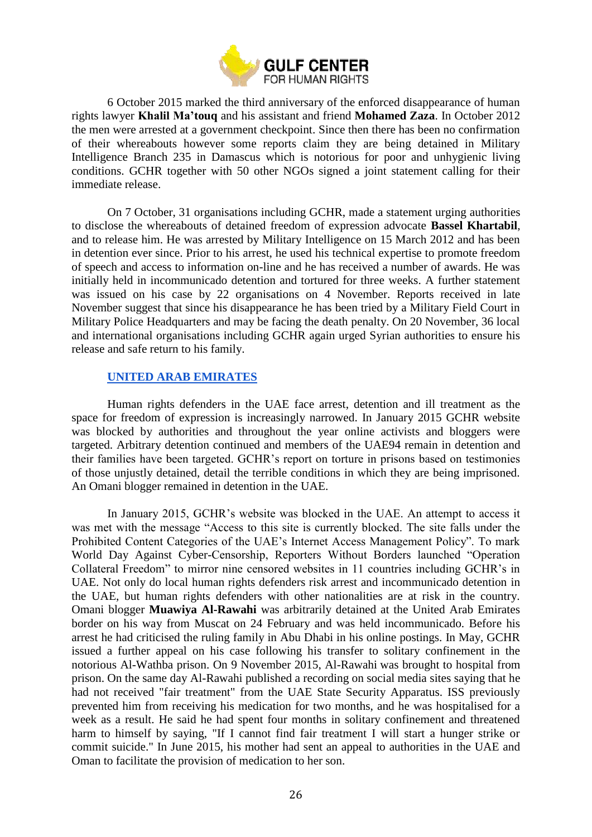

6 October 2015 marked the third anniversary of the enforced disappearance of human rights lawyer **Khalil Ma'touq** and his assistant and friend **Mohamed Zaza**. In October 2012 the men were arrested at a government checkpoint. Since then there has been no confirmation of their whereabouts however some reports claim they are being detained in Military Intelligence Branch 235 in Damascus which is notorious for poor and unhygienic living conditions. GCHR together with 50 other NGOs signed a joint statement calling for their immediate release.

On 7 October, 31 organisations including GCHR, made a statement urging authorities to disclose the whereabouts of detained freedom of expression advocate **Bassel Khartabil**, and to release him. He was arrested by Military Intelligence on 15 March 2012 and has been in detention ever since. Prior to his arrest, he used his technical expertise to promote freedom of speech and access to information on-line and he has received a number of awards. He was initially held in incommunicado detention and tortured for three weeks. A further statement was issued on his case by 22 organisations on 4 November. Reports received in late November suggest that since his disappearance he has been tried by a Military Field Court in Military Police Headquarters and may be facing the death penalty. On 20 November, 36 local and international organisations including GCHR again urged Syrian authorities to ensure his release and safe return to his family.

## **UNITED [ARAB EMIRATES](http://www.gc4hr.org/news/index/country/2)**

<span id="page-25-0"></span>Human rights defenders in the UAE face arrest, detention and ill treatment as the space for freedom of expression is increasingly narrowed. In January 2015 GCHR website was blocked by authorities and throughout the year online activists and bloggers were targeted. Arbitrary detention continued and members of the UAE94 remain in detention and their families have been targeted. GCHR's report on torture in prisons based on testimonies of those unjustly detained, detail the terrible conditions in which they are being imprisoned. An Omani blogger remained in detention in the UAE.

In January 2015, GCHR's website was blocked in the UAE. An attempt to access it was met with the message "Access to this site is currently blocked. The site falls under the Prohibited Content Categories of the UAE's Internet Access Management Policy". To mark World Day Against Cyber-Censorship, Reporters Without Borders launched "Operation Collateral Freedom" to mirror nine censored websites in 11 countries including GCHR's in UAE. Not only do local human rights defenders risk arrest and incommunicado detention in the UAE, but human rights defenders with other nationalities are at risk in the country. Omani blogger **Muawiya Al-Rawahi** was arbitrarily detained at the United Arab Emirates border on his way from Muscat on 24 February and was held incommunicado. Before his arrest he had criticised the ruling family in Abu Dhabi in his online postings. In May, GCHR issued a further appeal on his case following his transfer to solitary confinement in the notorious Al-Wathba prison. On 9 November 2015, Al-Rawahi was brought to hospital from prison. On the same day Al-Rawahi published a recording on social media sites saying that he had not received "fair treatment" from the UAE State Security Apparatus. ISS previously prevented him from receiving his medication for two months, and he was hospitalised for a week as a result. He said he had spent four months in solitary confinement and threatened harm to himself by saying, "If I cannot find fair treatment I will start a hunger strike or commit suicide." In June 2015, his mother had sent an appeal to authorities in the UAE and Oman to facilitate the provision of medication to her son.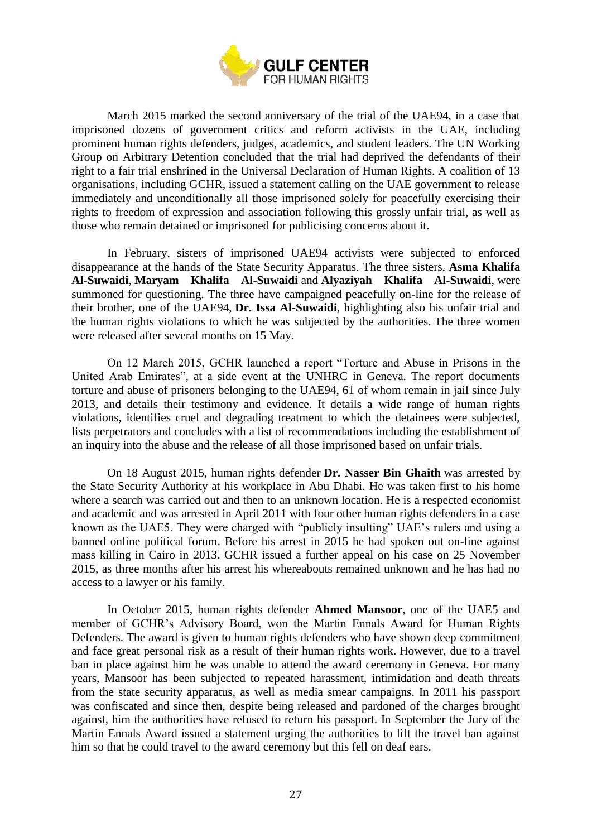

March 2015 marked the second anniversary of the trial of the UAE94, in a case that imprisoned dozens of government critics and reform activists in the UAE, including prominent human rights defenders, judges, academics, and student leaders. The UN Working Group on Arbitrary Detention concluded that the trial had deprived the defendants of their right to a fair trial enshrined in the Universal Declaration of Human Rights. A coalition of 13 organisations, including GCHR, issued a statement calling on the UAE government to release immediately and unconditionally all those imprisoned solely for peacefully exercising their rights to freedom of expression and association following this grossly unfair trial, as well as those who remain detained or imprisoned for publicising concerns about it.

In February, sisters of imprisoned UAE94 activists were subjected to enforced disappearance at the hands of the State Security Apparatus. The three sisters, **Asma Khalifa Al-Suwaidi**, **Maryam Khalifa Al-Suwaidi** and **Alyaziyah Khalifa Al-Suwaidi**, were summoned for questioning. The three have campaigned peacefully on-line for the release of their brother, one of the UAE94, **Dr. Issa Al-Suwaidi**, highlighting also his unfair trial and the human rights violations to which he was subjected by the authorities. The three women were released after several months on 15 May.

On 12 March 2015, GCHR launched a report "Torture and Abuse in Prisons in the United Arab Emirates"*,* at a side event at the UNHRC in Geneva. The report documents torture and abuse of prisoners belonging to the UAE94, 61 of whom remain in jail since July 2013, and details their testimony and evidence. It details a wide range of human rights violations, identifies cruel and degrading treatment to which the detainees were subjected, lists perpetrators and concludes with a list of recommendations including the establishment of an inquiry into the abuse and the release of all those imprisoned based on unfair trials.

On 18 August 2015, human rights defender **Dr. Nasser Bin Ghaith** was arrested by the State Security Authority at his workplace in Abu Dhabi. He was taken first to his home where a search was carried out and then to an unknown location. He is a respected economist and academic and was arrested in April 2011 with four other human rights defenders in a case known as the UAE5. They were charged with "publicly insulting" UAE's rulers and using a banned online political forum. Before his arrest in 2015 he had spoken out on-line against mass killing in Cairo in 2013. GCHR issued a further appeal on his case on 25 November 2015, as three months after his arrest his whereabouts remained unknown and he has had no access to a lawyer or his family.

In October 2015, human rights defender **Ahmed Mansoor**, one of the UAE5 and member of GCHR's Advisory Board, won the Martin Ennals Award for Human Rights Defenders. The award is given to human rights defenders who have shown deep commitment and face great personal risk as a result of their human rights work. However, due to a travel ban in place against him he was unable to attend the award ceremony in Geneva. For many years, Mansoor has been subjected to repeated harassment, intimidation and death threats from the state security apparatus, as well as media smear campaigns. In 2011 his passport was confiscated and since then, despite being released and pardoned of the charges brought against, him the authorities have refused to return his passport. In September the Jury of the Martin Ennals Award issued a statement urging the authorities to lift the travel ban against him so that he could travel to the award ceremony but this fell on deaf ears.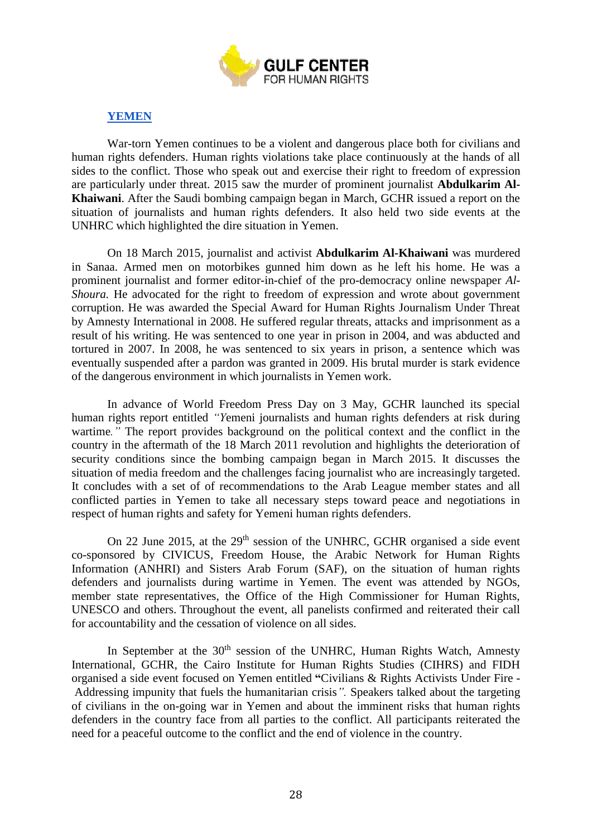

# **[YEMEN](http://www.gc4hr.org/news/index/country/1)**

<span id="page-27-0"></span>War-torn Yemen continues to be a violent and dangerous place both for civilians and human rights defenders. Human rights violations take place continuously at the hands of all sides to the conflict. Those who speak out and exercise their right to freedom of expression are particularly under threat. 2015 saw the murder of prominent journalist **Abdulkarim Al-Khaiwani**. After the Saudi bombing campaign began in March, GCHR issued a report on the situation of journalists and human rights defenders. It also held two side events at the UNHRC which highlighted the dire situation in Yemen.

On 18 March 2015, journalist and activist **Abdulkarim Al-Khaiwani** was murdered in Sanaa. Armed men on motorbikes gunned him down as he left his home. He was a prominent journalist and former editor-in-chief of the pro-democracy online newspaper *Al-Shoura*. He advocated for the right to freedom of expression and wrote about government corruption. He was awarded the Special Award for Human Rights Journalism Under Threat by Amnesty International in 2008. He suffered regular threats, attacks and imprisonment as a result of his writing. He was sentenced to one year in prison in 2004, and was abducted and tortured in 2007. In 2008, he was sentenced to six years in prison, a sentence which was eventually suspended after a pardon was granted in 2009. His brutal murder is stark evidence of the dangerous environment in which journalists in Yemen work.

In advance of World Freedom Press Day on 3 May, GCHR launched its special human rights report entitled *"Y*emeni journalists and human rights defenders at risk during wartime*."* The report provides background on the political context and the conflict in the country in the aftermath of the 18 March 2011 revolution and highlights the deterioration of security conditions since the bombing campaign began in March 2015. It discusses the situation of media freedom and the challenges facing journalist who are increasingly targeted. It concludes with a set of of recommendations to the Arab League member states and all conflicted parties in Yemen to take all necessary steps toward peace and negotiations in respect of human rights and safety for Yemeni human rights defenders.

On 22 June 2015, at the  $29<sup>th</sup>$  session of the UNHRC, GCHR organised a side event co-sponsored by CIVICUS, Freedom House, the Arabic Network for Human Rights Information (ANHRI) and Sisters Arab Forum (SAF), on the situation of human rights defenders and journalists during wartime in Yemen. The event was attended by NGOs, member state representatives, the Office of the High Commissioner for Human Rights, UNESCO and others. Throughout the event, all panelists confirmed and reiterated their call for accountability and the cessation of violence on all sides.

In September at the 30<sup>th</sup> session of the UNHRC, Human Rights Watch, Amnesty International, GCHR, the Cairo Institute for Human Rights Studies (CIHRS) and FIDH organised a side event focused on Yemen entitled **"**Civilians & Rights Activists Under Fire - Addressing impunity that fuels the humanitarian crisis*".* Speakers talked about the targeting of civilians in the on-going war in Yemen and about the imminent risks that human rights defenders in the country face from all parties to the conflict. All participants reiterated the need for a peaceful outcome to the conflict and the end of violence in the country.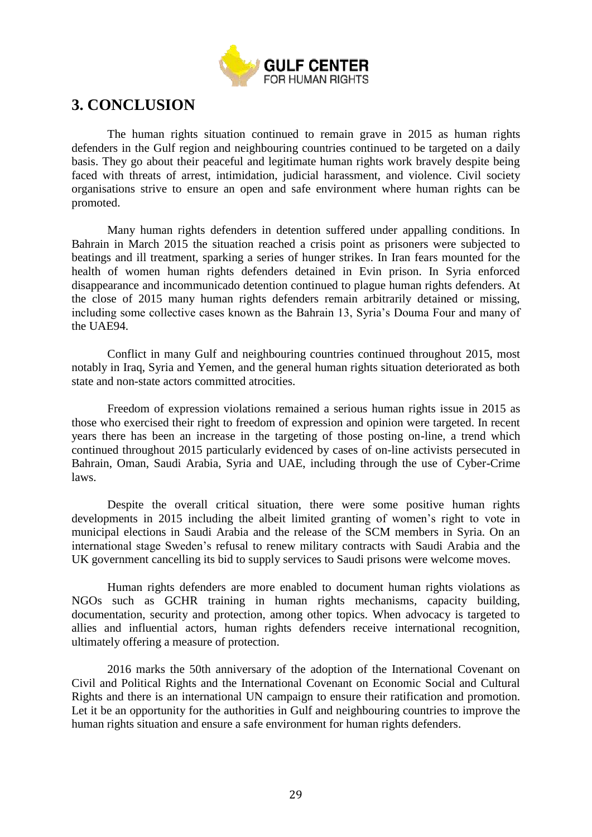

# <span id="page-28-0"></span>**3. CONCLUSION**

The human rights situation continued to remain grave in 2015 as human rights defenders in the Gulf region and neighbouring countries continued to be targeted on a daily basis. They go about their peaceful and legitimate human rights work bravely despite being faced with threats of arrest, intimidation, judicial harassment, and violence. Civil society organisations strive to ensure an open and safe environment where human rights can be promoted.

Many human rights defenders in detention suffered under appalling conditions. In Bahrain in March 2015 the situation reached a crisis point as prisoners were subjected to beatings and ill treatment, sparking a series of hunger strikes. In Iran fears mounted for the health of women human rights defenders detained in Evin prison. In Syria enforced disappearance and incommunicado detention continued to plague human rights defenders. At the close of 2015 many human rights defenders remain arbitrarily detained or missing, including some collective cases known as the Bahrain 13, Syria's Douma Four and many of the UAE94.

Conflict in many Gulf and neighbouring countries continued throughout 2015, most notably in Iraq, Syria and Yemen, and the general human rights situation deteriorated as both state and non-state actors committed atrocities.

Freedom of expression violations remained a serious human rights issue in 2015 as those who exercised their right to freedom of expression and opinion were targeted. In recent years there has been an increase in the targeting of those posting on-line, a trend which continued throughout 2015 particularly evidenced by cases of on-line activists persecuted in Bahrain, Oman, Saudi Arabia, Syria and UAE, including through the use of Cyber-Crime laws.

Despite the overall critical situation, there were some positive human rights developments in 2015 including the albeit limited granting of women's right to vote in municipal elections in Saudi Arabia and the release of the SCM members in Syria. On an international stage Sweden's refusal to renew military contracts with Saudi Arabia and the UK government cancelling its bid to supply services to Saudi prisons were welcome moves.

Human rights defenders are more enabled to document human rights violations as NGOs such as GCHR training in human rights mechanisms, capacity building, documentation, security and protection, among other topics. When advocacy is targeted to allies and influential actors, human rights defenders receive international recognition, ultimately offering a measure of protection.

2016 marks the 50th anniversary of the adoption of the International Covenant on Civil and Political Rights and the International Covenant on Economic Social and Cultural Rights and there is an international UN campaign to ensure their ratification and promotion. Let it be an opportunity for the authorities in Gulf and neighbouring countries to improve the human rights situation and ensure a safe environment for human rights defenders.